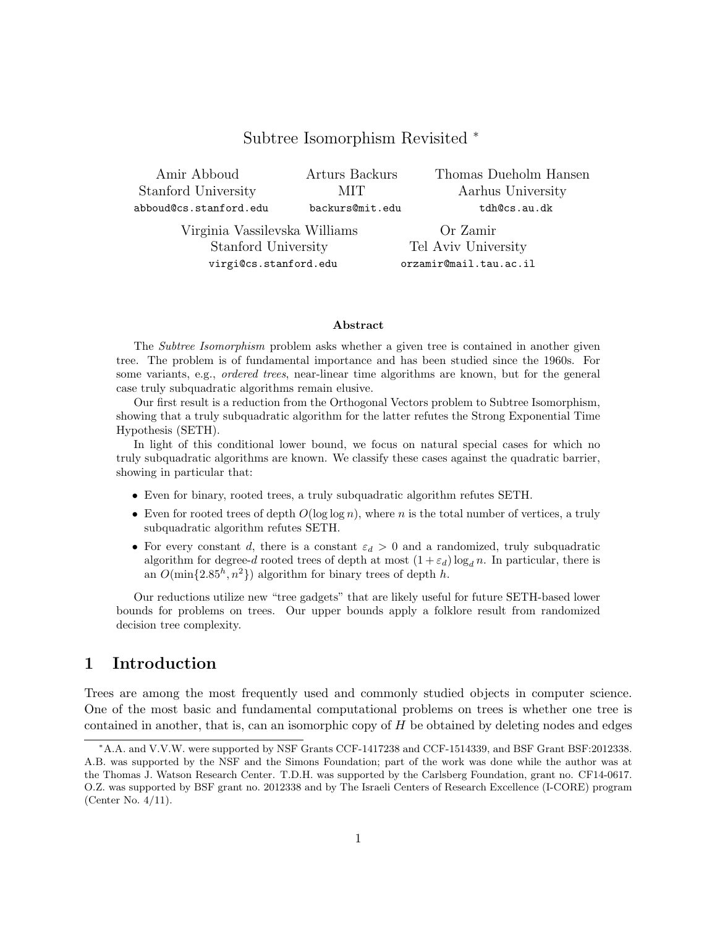### Subtree Isomorphism Revisited <sup>∗</sup>

Amir Abboud Stanford University abboud@cs.stanford.edu Arturs Backurs MIT backurs@mit.edu Thomas Dueholm Hansen Aarhus University tdh@cs.au.dk

Virginia Vassilevska Williams Stanford University virgi@cs.stanford.edu

Or Zamir Tel Aviv University orzamir@mail.tau.ac.il

#### Abstract

The *Subtree Isomorphism* problem asks whether a given tree is contained in another given tree. The problem is of fundamental importance and has been studied since the 1960s. For some variants, e.g., ordered trees, near-linear time algorithms are known, but for the general case truly subquadratic algorithms remain elusive.

Our first result is a reduction from the Orthogonal Vectors problem to Subtree Isomorphism, showing that a truly subquadratic algorithm for the latter refutes the Strong Exponential Time Hypothesis (SETH).

In light of this conditional lower bound, we focus on natural special cases for which no truly subquadratic algorithms are known. We classify these cases against the quadratic barrier, showing in particular that:

- Even for binary, rooted trees, a truly subquadratic algorithm refutes SETH.
- Even for rooted trees of depth  $O(\log \log n)$ , where n is the total number of vertices, a truly subquadratic algorithm refutes SETH.
- For every constant d, there is a constant  $\varepsilon_d > 0$  and a randomized, truly subquadratic algorithm for degree-d rooted trees of depth at most  $(1 + \varepsilon_d) \log_d n$ . In particular, there is an  $O(\min\{2.85^h, n^2\})$  algorithm for binary trees of depth h.

Our reductions utilize new "tree gadgets" that are likely useful for future SETH-based lower bounds for problems on trees. Our upper bounds apply a folklore result from randomized decision tree complexity.

# 1 Introduction

Trees are among the most frequently used and commonly studied objects in computer science. One of the most basic and fundamental computational problems on trees is whether one tree is contained in another, that is, can an isomorphic copy of H be obtained by deleting nodes and edges

<sup>∗</sup>A.A. and V.V.W. were supported by NSF Grants CCF-1417238 and CCF-1514339, and BSF Grant BSF:2012338. A.B. was supported by the NSF and the Simons Foundation; part of the work was done while the author was at the Thomas J. Watson Research Center. T.D.H. was supported by the Carlsberg Foundation, grant no. CF14-0617. O.Z. was supported by BSF grant no. 2012338 and by The Israeli Centers of Research Excellence (I-CORE) program (Center No. 4/11).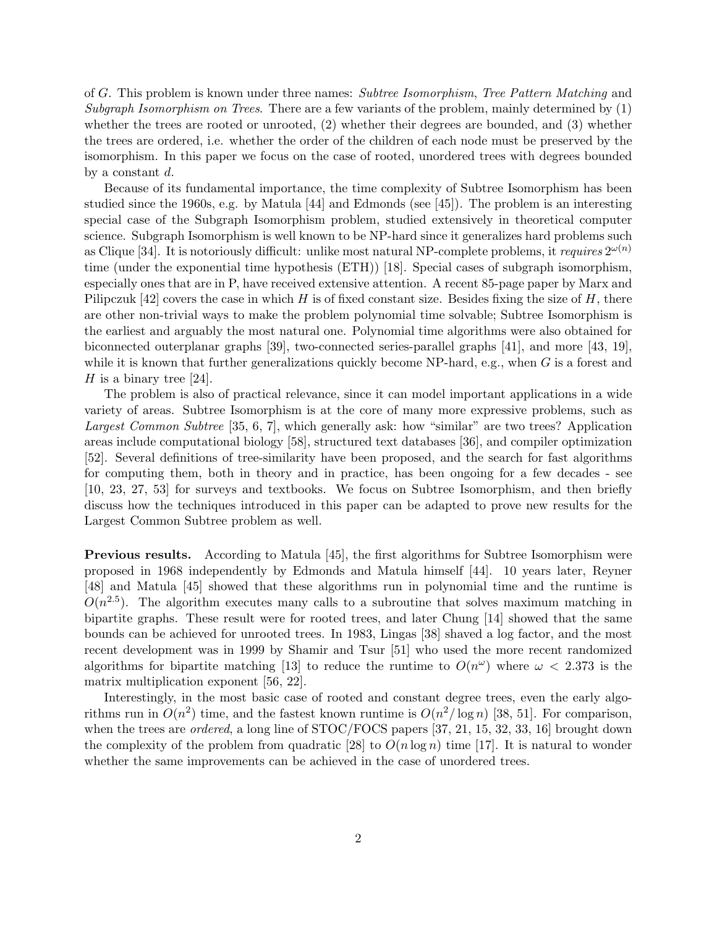of G. This problem is known under three names: Subtree Isomorphism, Tree Pattern Matching and Subgraph Isomorphism on Trees. There are a few variants of the problem, mainly determined by  $(1)$ whether the trees are rooted or unrooted, (2) whether their degrees are bounded, and (3) whether the trees are ordered, i.e. whether the order of the children of each node must be preserved by the isomorphism. In this paper we focus on the case of rooted, unordered trees with degrees bounded by a constant d.

Because of its fundamental importance, the time complexity of Subtree Isomorphism has been studied since the 1960s, e.g. by Matula [44] and Edmonds (see [45]). The problem is an interesting special case of the Subgraph Isomorphism problem, studied extensively in theoretical computer science. Subgraph Isomorphism is well known to be NP-hard since it generalizes hard problems such as Clique [34]. It is notoriously difficult: unlike most natural NP-complete problems, it requires  $2^{\omega(n)}$ time (under the exponential time hypothesis (ETH)) [18]. Special cases of subgraph isomorphism, especially ones that are in P, have received extensive attention. A recent 85-page paper by Marx and Pilipczuk [42] covers the case in which H is of fixed constant size. Besides fixing the size of H, there are other non-trivial ways to make the problem polynomial time solvable; Subtree Isomorphism is the earliest and arguably the most natural one. Polynomial time algorithms were also obtained for biconnected outerplanar graphs [39], two-connected series-parallel graphs [41], and more [43, 19], while it is known that further generalizations quickly become NP-hard, e.g., when  $G$  is a forest and H is a binary tree  $[24]$ .

The problem is also of practical relevance, since it can model important applications in a wide variety of areas. Subtree Isomorphism is at the core of many more expressive problems, such as Largest Common Subtree [35, 6, 7], which generally ask: how "similar" are two trees? Application areas include computational biology [58], structured text databases [36], and compiler optimization [52]. Several definitions of tree-similarity have been proposed, and the search for fast algorithms for computing them, both in theory and in practice, has been ongoing for a few decades - see [10, 23, 27, 53] for surveys and textbooks. We focus on Subtree Isomorphism, and then briefly discuss how the techniques introduced in this paper can be adapted to prove new results for the Largest Common Subtree problem as well.

Previous results. According to Matula [45], the first algorithms for Subtree Isomorphism were proposed in 1968 independently by Edmonds and Matula himself [44]. 10 years later, Reyner [48] and Matula [45] showed that these algorithms run in polynomial time and the runtime is  $O(n^{2.5})$ . The algorithm executes many calls to a subroutine that solves maximum matching in bipartite graphs. These result were for rooted trees, and later Chung [14] showed that the same bounds can be achieved for unrooted trees. In 1983, Lingas [38] shaved a log factor, and the most recent development was in 1999 by Shamir and Tsur [51] who used the more recent randomized algorithms for bipartite matching [13] to reduce the runtime to  $O(n^{\omega})$  where  $\omega < 2.373$  is the matrix multiplication exponent [56, 22].

Interestingly, in the most basic case of rooted and constant degree trees, even the early algorithms run in  $O(n^2)$  time, and the fastest known runtime is  $O(n^2/\log n)$  [38, 51]. For comparison, when the trees are *ordered*, a long line of STOC/FOCS papers [37, 21, 15, 32, 33, 16] brought down the complexity of the problem from quadratic [28] to  $O(n \log n)$  time [17]. It is natural to wonder whether the same improvements can be achieved in the case of unordered trees.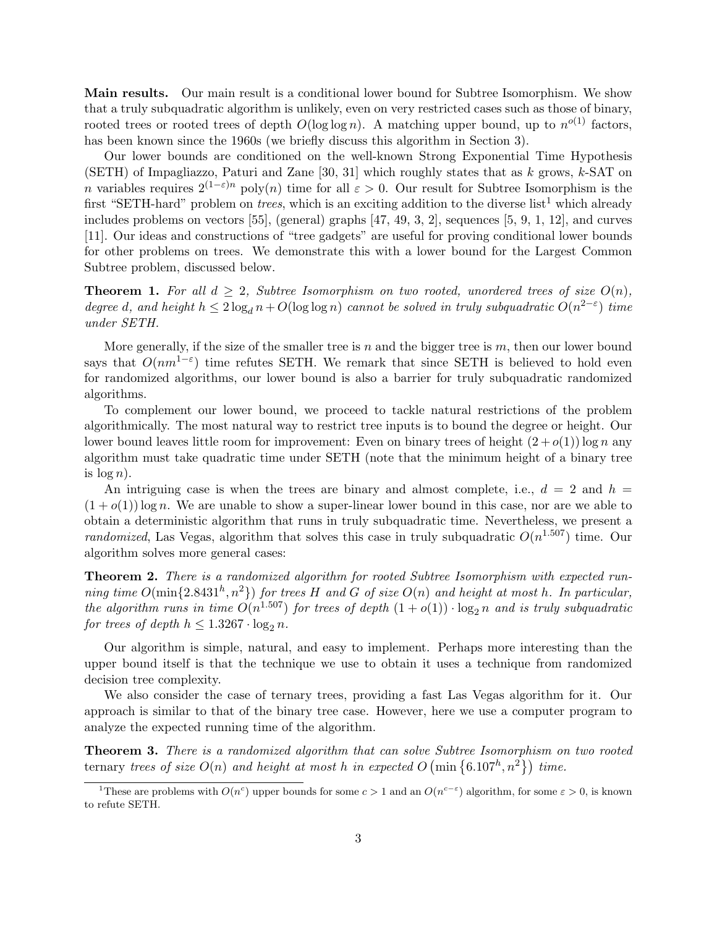Main results. Our main result is a conditional lower bound for Subtree Isomorphism. We show that a truly subquadratic algorithm is unlikely, even on very restricted cases such as those of binary, rooted trees or rooted trees of depth  $O(\log \log n)$ . A matching upper bound, up to  $n^{o(1)}$  factors, has been known since the 1960s (we briefly discuss this algorithm in Section 3).

Our lower bounds are conditioned on the well-known Strong Exponential Time Hypothesis (SETH) of Impagliazzo, Paturi and Zane  $[30, 31]$  which roughly states that as k grows, k-SAT on n variables requires  $2^{(1-\varepsilon)n}$  poly $(n)$  time for all  $\varepsilon > 0$ . Our result for Subtree Isomorphism is the first "SETH-hard" problem on *trees*, which is an exciting addition to the diverse list<sup>1</sup> which already includes problems on vectors [55], (general) graphs [47, 49, 3, 2], sequences [5, 9, 1, 12], and curves [11]. Our ideas and constructions of "tree gadgets" are useful for proving conditional lower bounds for other problems on trees. We demonstrate this with a lower bound for the Largest Common Subtree problem, discussed below.

**Theorem 1.** For all  $d \geq 2$ , Subtree Isomorphism on two rooted, unordered trees of size  $O(n)$ , degree d, and height  $h \leq 2 \log_d n + O(\log \log n)$  cannot be solved in truly subquadratic  $O(n^{2-\epsilon})$  time under SETH.

More generally, if the size of the smaller tree is  $n$  and the bigger tree is  $m$ , then our lower bound says that  $O(nm^{1-\epsilon})$  time refutes SETH. We remark that since SETH is believed to hold even for randomized algorithms, our lower bound is also a barrier for truly subquadratic randomized algorithms.

To complement our lower bound, we proceed to tackle natural restrictions of the problem algorithmically. The most natural way to restrict tree inputs is to bound the degree or height. Our lower bound leaves little room for improvement: Even on binary trees of height  $(2+o(1)) \log n$  any algorithm must take quadratic time under SETH (note that the minimum height of a binary tree is  $\log n$ ).

An intriguing case is when the trees are binary and almost complete, i.e.,  $d = 2$  and  $h =$  $(1+o(1))$  log n. We are unable to show a super-linear lower bound in this case, nor are we able to obtain a deterministic algorithm that runs in truly subquadratic time. Nevertheless, we present a randomized, Las Vegas, algorithm that solves this case in truly subquadratic  $O(n^{1.507})$  time. Our algorithm solves more general cases:

Theorem 2. There is a randomized algorithm for rooted Subtree Isomorphism with expected running time  $O(\min\{2.8431^h, n^2\})$  for trees H and G of size  $O(n)$  and height at most h. In particular, the algorithm runs in time  $O(n^{1.507})$  for trees of depth  $(1+o(1)) \cdot \log_2 n$  and is truly subquadratic for trees of depth  $h \leq 1.3267 \cdot \log_2 n$ .

Our algorithm is simple, natural, and easy to implement. Perhaps more interesting than the upper bound itself is that the technique we use to obtain it uses a technique from randomized decision tree complexity.

We also consider the case of ternary trees, providing a fast Las Vegas algorithm for it. Our approach is similar to that of the binary tree case. However, here we use a computer program to analyze the expected running time of the algorithm.

Theorem 3. There is a randomized algorithm that can solve Subtree Isomorphism on two rooted ternary trees of size  $O(n)$  and height at most h in expected  $O\left(\min\left\{6.107^h, n^2\right\}\right)$  time.

<sup>&</sup>lt;sup>1</sup>These are problems with  $O(n^c)$  upper bounds for some  $c > 1$  and an  $O(n^{c-\epsilon})$  algorithm, for some  $\varepsilon > 0$ , is known to refute SETH.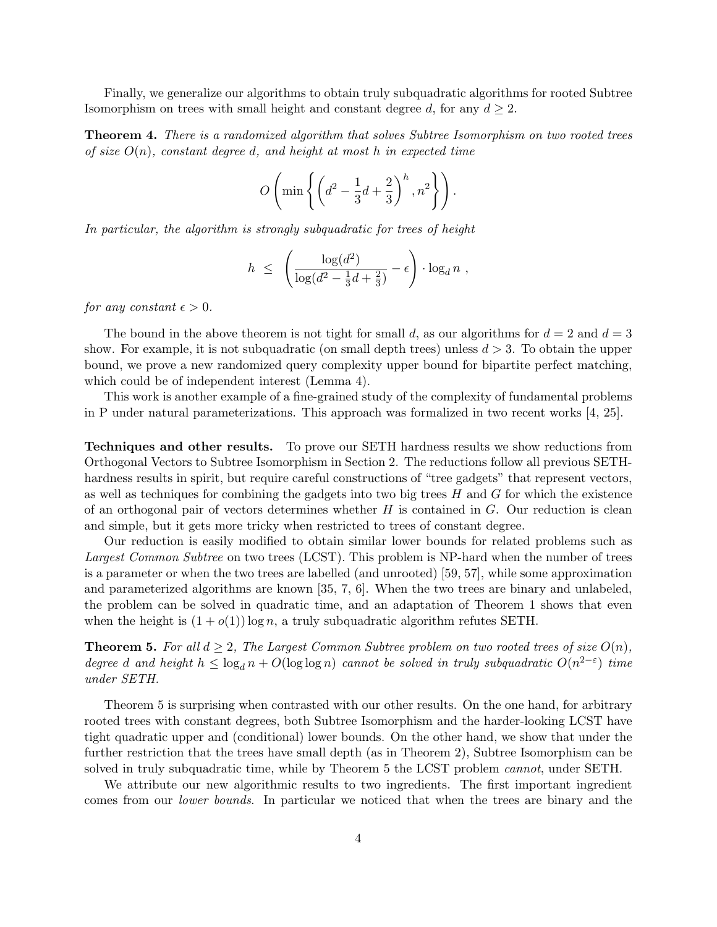Finally, we generalize our algorithms to obtain truly subquadratic algorithms for rooted Subtree Isomorphism on trees with small height and constant degree d, for any  $d \geq 2$ .

**Theorem 4.** There is a randomized algorithm that solves Subtree Isomorphism on two rooted trees of size  $O(n)$ , constant degree d, and height at most h in expected time

$$
O\left(\min\left\{\left(d^2-\frac{1}{3}d+\frac{2}{3}\right)^h, n^2\right\}\right).
$$

In particular, the algorithm is strongly subquadratic for trees of height

$$
h \leq \left(\frac{\log(d^2)}{\log(d^2 - \frac{1}{3}d + \frac{2}{3})} - \epsilon\right) \cdot \log_d n,
$$

for any constant  $\epsilon > 0$ .

The bound in the above theorem is not tight for small d, as our algorithms for  $d = 2$  and  $d = 3$ show. For example, it is not subquadratic (on small depth trees) unless  $d > 3$ . To obtain the upper bound, we prove a new randomized query complexity upper bound for bipartite perfect matching, which could be of independent interest (Lemma 4).

This work is another example of a fine-grained study of the complexity of fundamental problems in P under natural parameterizations. This approach was formalized in two recent works [4, 25].

Techniques and other results. To prove our SETH hardness results we show reductions from Orthogonal Vectors to Subtree Isomorphism in Section 2. The reductions follow all previous SETHhardness results in spirit, but require careful constructions of "tree gadgets" that represent vectors, as well as techniques for combining the gadgets into two big trees  $H$  and  $G$  for which the existence of an orthogonal pair of vectors determines whether  $H$  is contained in  $G$ . Our reduction is clean and simple, but it gets more tricky when restricted to trees of constant degree.

Our reduction is easily modified to obtain similar lower bounds for related problems such as Largest Common Subtree on two trees (LCST). This problem is NP-hard when the number of trees is a parameter or when the two trees are labelled (and unrooted) [59, 57], while some approximation and parameterized algorithms are known [35, 7, 6]. When the two trees are binary and unlabeled, the problem can be solved in quadratic time, and an adaptation of Theorem 1 shows that even when the height is  $(1 + o(1)) \log n$ , a truly subquadratic algorithm refutes SETH.

**Theorem 5.** For all  $d \geq 2$ , The Largest Common Subtree problem on two rooted trees of size  $O(n)$ , degree d and height  $h \leq \log_d n + O(\log \log n)$  cannot be solved in truly subquadratic  $O(n^{2-\epsilon})$  time under SETH.

Theorem 5 is surprising when contrasted with our other results. On the one hand, for arbitrary rooted trees with constant degrees, both Subtree Isomorphism and the harder-looking LCST have tight quadratic upper and (conditional) lower bounds. On the other hand, we show that under the further restriction that the trees have small depth (as in Theorem 2), Subtree Isomorphism can be solved in truly subquadratic time, while by Theorem 5 the LCST problem cannot, under SETH.

We attribute our new algorithmic results to two ingredients. The first important ingredient comes from our lower bounds. In particular we noticed that when the trees are binary and the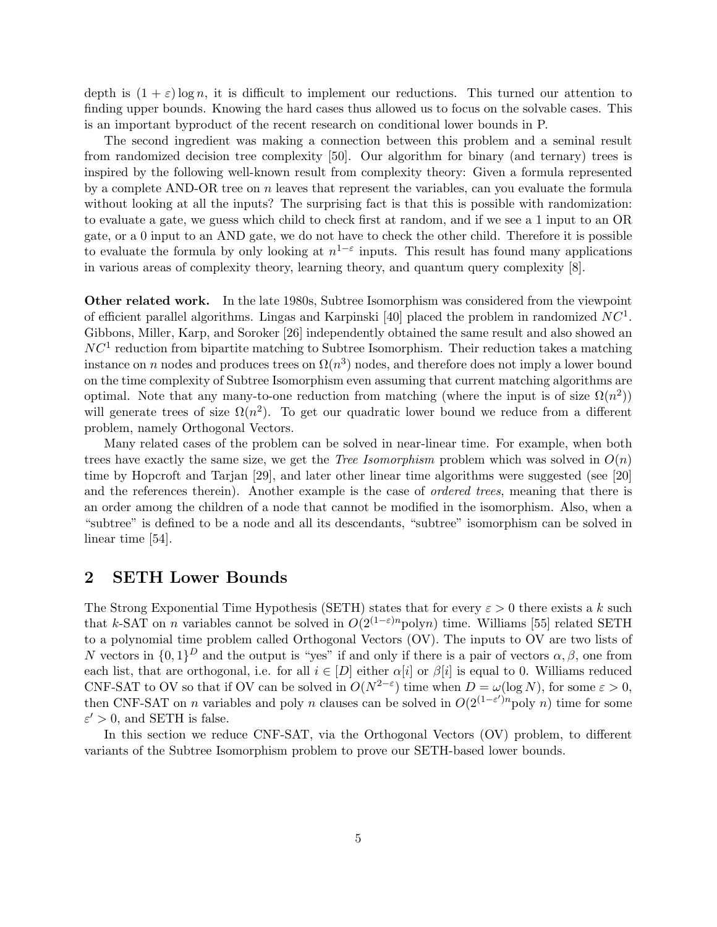depth is  $(1 + \varepsilon) \log n$ , it is difficult to implement our reductions. This turned our attention to finding upper bounds. Knowing the hard cases thus allowed us to focus on the solvable cases. This is an important byproduct of the recent research on conditional lower bounds in P.

The second ingredient was making a connection between this problem and a seminal result from randomized decision tree complexity [50]. Our algorithm for binary (and ternary) trees is inspired by the following well-known result from complexity theory: Given a formula represented by a complete AND-OR tree on  $n$  leaves that represent the variables, can you evaluate the formula without looking at all the inputs? The surprising fact is that this is possible with randomization: to evaluate a gate, we guess which child to check first at random, and if we see a 1 input to an OR gate, or a 0 input to an AND gate, we do not have to check the other child. Therefore it is possible to evaluate the formula by only looking at  $n^{1-\varepsilon}$  inputs. This result has found many applications in various areas of complexity theory, learning theory, and quantum query complexity [8].

Other related work. In the late 1980s, Subtree Isomorphism was considered from the viewpoint of efficient parallel algorithms. Lingas and Karpinski [40] placed the problem in randomized  $NC<sup>1</sup>$ . Gibbons, Miller, Karp, and Soroker [26] independently obtained the same result and also showed an  $NC<sup>1</sup>$  reduction from bipartite matching to Subtree Isomorphism. Their reduction takes a matching instance on n nodes and produces trees on  $\Omega(n^3)$  nodes, and therefore does not imply a lower bound on the time complexity of Subtree Isomorphism even assuming that current matching algorithms are optimal. Note that any many-to-one reduction from matching (where the input is of size  $\Omega(n^2)$ ) will generate trees of size  $\Omega(n^2)$ . To get our quadratic lower bound we reduce from a different problem, namely Orthogonal Vectors.

Many related cases of the problem can be solved in near-linear time. For example, when both trees have exactly the same size, we get the *Tree Isomorphism* problem which was solved in  $O(n)$ time by Hopcroft and Tarjan [29], and later other linear time algorithms were suggested (see [20] and the references therein). Another example is the case of *ordered trees*, meaning that there is an order among the children of a node that cannot be modified in the isomorphism. Also, when a "subtree" is defined to be a node and all its descendants, "subtree" isomorphism can be solved in linear time [54].

## 2 SETH Lower Bounds

The Strong Exponential Time Hypothesis (SETH) states that for every  $\varepsilon > 0$  there exists a k such that k-SAT on n variables cannot be solved in  $O(2^{(1-\varepsilon)n} \text{polyn})$  time. Williams [55] related SETH to a polynomial time problem called Orthogonal Vectors (OV). The inputs to OV are two lists of N vectors in  $\{0,1\}^D$  and the output is "yes" if and only if there is a pair of vectors  $\alpha, \beta$ , one from each list, that are orthogonal, i.e. for all  $i \in [D]$  either  $\alpha[i]$  or  $\beta[i]$  is equal to 0. Williams reduced CNF-SAT to OV so that if OV can be solved in  $O(N^{2-\epsilon})$  time when  $D = \omega(\log N)$ , for some  $\varepsilon > 0$ , then CNF-SAT on *n* variables and poly *n* clauses can be solved in  $O(2^{(1-\varepsilon')n} \text{poly } n)$  time for some  $\varepsilon' > 0$ , and SETH is false.

In this section we reduce CNF-SAT, via the Orthogonal Vectors (OV) problem, to different variants of the Subtree Isomorphism problem to prove our SETH-based lower bounds.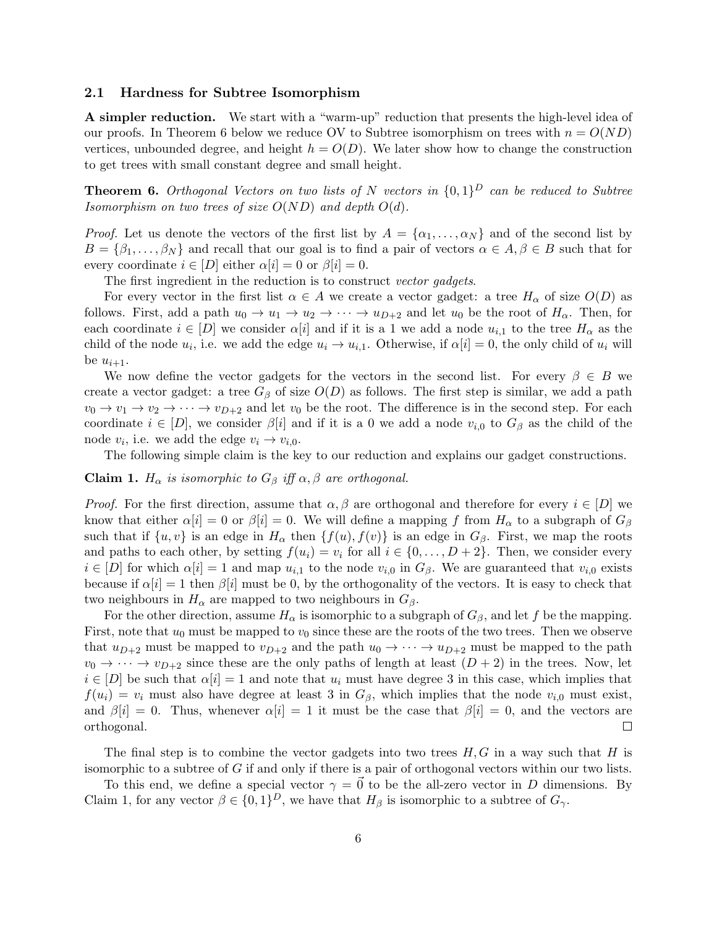### 2.1 Hardness for Subtree Isomorphism

A simpler reduction. We start with a "warm-up" reduction that presents the high-level idea of our proofs. In Theorem 6 below we reduce OV to Subtree isomorphism on trees with  $n = O(ND)$ vertices, unbounded degree, and height  $h = O(D)$ . We later show how to change the construction to get trees with small constant degree and small height.

**Theorem 6.** Orthogonal Vectors on two lists of N vectors in  $\{0,1\}^D$  can be reduced to Subtree Isomorphism on two trees of size  $O(ND)$  and depth  $O(d)$ .

*Proof.* Let us denote the vectors of the first list by  $A = \{\alpha_1, \dots, \alpha_N\}$  and of the second list by  $B = \{\beta_1, \ldots, \beta_N\}$  and recall that our goal is to find a pair of vectors  $\alpha \in A, \beta \in B$  such that for every coordinate  $i \in [D]$  either  $\alpha[i] = 0$  or  $\beta[i] = 0$ .

The first ingredient in the reduction is to construct vector gadgets.

For every vector in the first list  $\alpha \in A$  we create a vector gadget: a tree  $H_{\alpha}$  of size  $O(D)$  as follows. First, add a path  $u_0 \to u_1 \to u_2 \to \cdots \to u_{D+2}$  and let  $u_0$  be the root of  $H_\alpha$ . Then, for each coordinate  $i \in [D]$  we consider  $\alpha[i]$  and if it is a 1 we add a node  $u_{i,1}$  to the tree  $H_{\alpha}$  as the child of the node  $u_i$ , i.e. we add the edge  $u_i \to u_{i,1}$ . Otherwise, if  $\alpha[i] = 0$ , the only child of  $u_i$  will be  $u_{i+1}$ .

We now define the vector gadgets for the vectors in the second list. For every  $\beta \in B$  we create a vector gadget: a tree  $G_\beta$  of size  $O(D)$  as follows. The first step is similar, we add a path  $v_0 \to v_1 \to v_2 \to \cdots \to v_{D+2}$  and let  $v_0$  be the root. The difference is in the second step. For each coordinate  $i \in [D]$ , we consider  $\beta[i]$  and if it is a 0 we add a node  $v_{i,0}$  to  $G_{\beta}$  as the child of the node  $v_i$ , i.e. we add the edge  $v_i \rightarrow v_{i,0}$ .

The following simple claim is the key to our reduction and explains our gadget constructions.

Claim 1.  $H_{\alpha}$  is isomorphic to  $G_{\beta}$  iff  $\alpha, \beta$  are orthogonal.

*Proof.* For the first direction, assume that  $\alpha, \beta$  are orthogonal and therefore for every  $i \in [D]$  we know that either  $\alpha[i] = 0$  or  $\beta[i] = 0$ . We will define a mapping f from  $H_{\alpha}$  to a subgraph of  $G_{\beta}$ such that if  $\{u, v\}$  is an edge in  $H_{\alpha}$  then  $\{f(u), f(v)\}$  is an edge in  $G_{\beta}$ . First, we map the roots and paths to each other, by setting  $f(u_i) = v_i$  for all  $i \in \{0, ..., D + 2\}$ . Then, we consider every  $i \in [D]$  for which  $\alpha[i] = 1$  and map  $u_{i,1}$  to the node  $v_{i,0}$  in  $G_\beta$ . We are guaranteed that  $v_{i,0}$  exists because if  $\alpha[i] = 1$  then  $\beta[i]$  must be 0, by the orthogonality of the vectors. It is easy to check that two neighbours in  $H_{\alpha}$  are mapped to two neighbours in  $G_{\beta}$ .

For the other direction, assume  $H_{\alpha}$  is isomorphic to a subgraph of  $G_{\beta}$ , and let f be the mapping. First, note that  $u_0$  must be mapped to  $v_0$  since these are the roots of the two trees. Then we observe that  $u_{D+2}$  must be mapped to  $v_{D+2}$  and the path  $u_0 \rightarrow \cdots \rightarrow u_{D+2}$  must be mapped to the path  $v_0 \rightarrow \cdots \rightarrow v_{D+2}$  since these are the only paths of length at least  $(D+2)$  in the trees. Now, let  $i \in [D]$  be such that  $\alpha[i] = 1$  and note that  $u_i$  must have degree 3 in this case, which implies that  $f(u_i) = v_i$  must also have degree at least 3 in  $G_\beta$ , which implies that the node  $v_{i,0}$  must exist, and  $\beta[i] = 0$ . Thus, whenever  $\alpha[i] = 1$  it must be the case that  $\beta[i] = 0$ , and the vectors are orthogonal.  $\Box$ 

The final step is to combine the vector gadgets into two trees  $H, G$  in a way such that H is isomorphic to a subtree of G if and only if there is a pair of orthogonal vectors within our two lists.

To this end, we define a special vector  $\gamma = \vec{0}$  to be the all-zero vector in D dimensions. By Claim 1, for any vector  $\beta \in \{0,1\}^D$ , we have that  $H_\beta$  is isomorphic to a subtree of  $G_\gamma$ .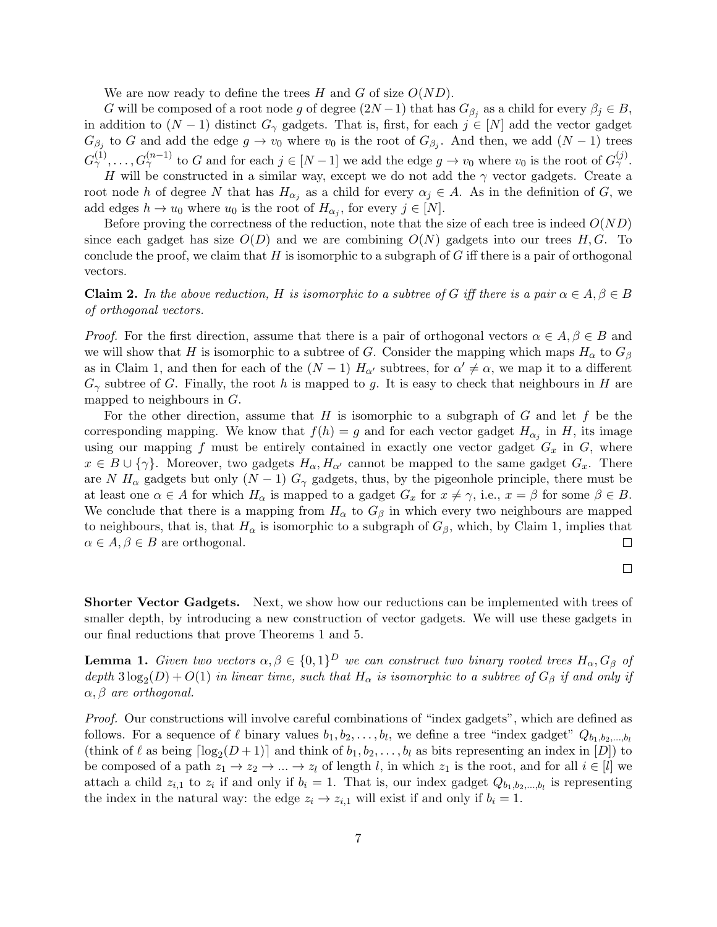We are now ready to define the trees H and G of size  $O(ND)$ .

G will be composed of a root node g of degree  $(2N-1)$  that has  $G_{\beta_j}$  as a child for every  $\beta_j \in B$ , in addition to  $(N-1)$  distinct  $G_{\gamma}$  gadgets. That is, first, for each  $j \in [N]$  add the vector gadget  $G_{\beta_j}$  to G and add the edge  $g \to v_0$  where  $v_0$  is the root of  $G_{\beta_j}$ . And then, we add  $(N-1)$  trees  $G_{\gamma}^{(1)}, \ldots, G_{\gamma}^{(n-1)}$  to G and for each  $j \in [N-1]$  we add the edge  $g \to v_0$  where  $v_0$  is the root of  $G_{\gamma}^{(j)}$ .

H will be constructed in a similar way, except we do not add the  $\gamma$  vector gadgets. Create a root node h of degree N that has  $H_{\alpha_j}$  as a child for every  $\alpha_j \in A$ . As in the definition of G, we add edges  $h \to u_0$  where  $u_0$  is the root of  $H_{\alpha_j}$ , for every  $j \in [N]$ .

Before proving the correctness of the reduction, note that the size of each tree is indeed  $O(ND)$ since each gadget has size  $O(D)$  and we are combining  $O(N)$  gadgets into our trees H, G. To conclude the proof, we claim that  $H$  is isomorphic to a subgraph of  $G$  iff there is a pair of orthogonal vectors.

**Claim 2.** In the above reduction, H is isomorphic to a subtree of G iff there is a pair  $\alpha \in A, \beta \in B$ of orthogonal vectors.

*Proof.* For the first direction, assume that there is a pair of orthogonal vectors  $\alpha \in A, \beta \in B$  and we will show that H is isomorphic to a subtree of G. Consider the mapping which maps  $H_{\alpha}$  to  $G_{\beta}$ as in Claim 1, and then for each of the  $(N-1)$   $H_{\alpha'}$  subtrees, for  $\alpha' \neq \alpha$ , we map it to a different  $G_{\gamma}$  subtree of G. Finally, the root h is mapped to g. It is easy to check that neighbours in H are mapped to neighbours in  $G$ .

For the other direction, assume that  $H$  is isomorphic to a subgraph of  $G$  and let  $f$  be the corresponding mapping. We know that  $f(h) = g$  and for each vector gadget  $H_{\alpha_j}$  in H, its image using our mapping f must be entirely contained in exactly one vector gadget  $G_x$  in  $G$ , where  $x \in B \cup \{\gamma\}.$  Moreover, two gadgets  $H_{\alpha}, H_{\alpha'}$  cannot be mapped to the same gadget  $G_x$ . There are N  $H_{\alpha}$  gadgets but only  $(N-1)$   $G_{\gamma}$  gadgets, thus, by the pigeonhole principle, there must be at least one  $\alpha \in A$  for which  $H_{\alpha}$  is mapped to a gadget  $G_x$  for  $x \neq \gamma$ , i.e.,  $x = \beta$  for some  $\beta \in B$ . We conclude that there is a mapping from  $H_{\alpha}$  to  $G_{\beta}$  in which every two neighbours are mapped to neighbours, that is, that  $H_{\alpha}$  is isomorphic to a subgraph of  $G_{\beta}$ , which, by Claim 1, implies that  $\alpha \in A, \beta \in B$  are orthogonal.  $\Box$ 

$$
\Box
$$

Shorter Vector Gadgets. Next, we show how our reductions can be implemented with trees of smaller depth, by introducing a new construction of vector gadgets. We will use these gadgets in our final reductions that prove Theorems 1 and 5.

**Lemma 1.** Given two vectors  $\alpha, \beta \in \{0,1\}^D$  we can construct two binary rooted trees  $H_\alpha, G_\beta$  of depth  $3\log_2(D) + O(1)$  in linear time, such that  $H_\alpha$  is isomorphic to a subtree of  $G_\beta$  if and only if  $\alpha, \beta$  are orthogonal.

Proof. Our constructions will involve careful combinations of "index gadgets", which are defined as follows. For a sequence of  $\ell$  binary values  $b_1, b_2, \ldots, b_l$ , we define a tree "index gadget"  $Q_{b_1, b_2, \ldots, b_l}$ (think of  $\ell$  as being  $\lceil \log_2(D + 1) \rceil$  and think of  $b_1, b_2, \ldots, b_l$  as bits representing an index in  $[D]$ ) to be composed of a path  $z_1 \to z_2 \to \dots \to z_l$  of length l, in which  $z_1$  is the root, and for all  $i \in [l]$  we attach a child  $z_{i,1}$  to  $z_i$  if and only if  $b_i = 1$ . That is, our index gadget  $Q_{b_1,b_2,...,b_l}$  is representing the index in the natural way: the edge  $z_i \rightarrow z_{i,1}$  will exist if and only if  $b_i = 1$ .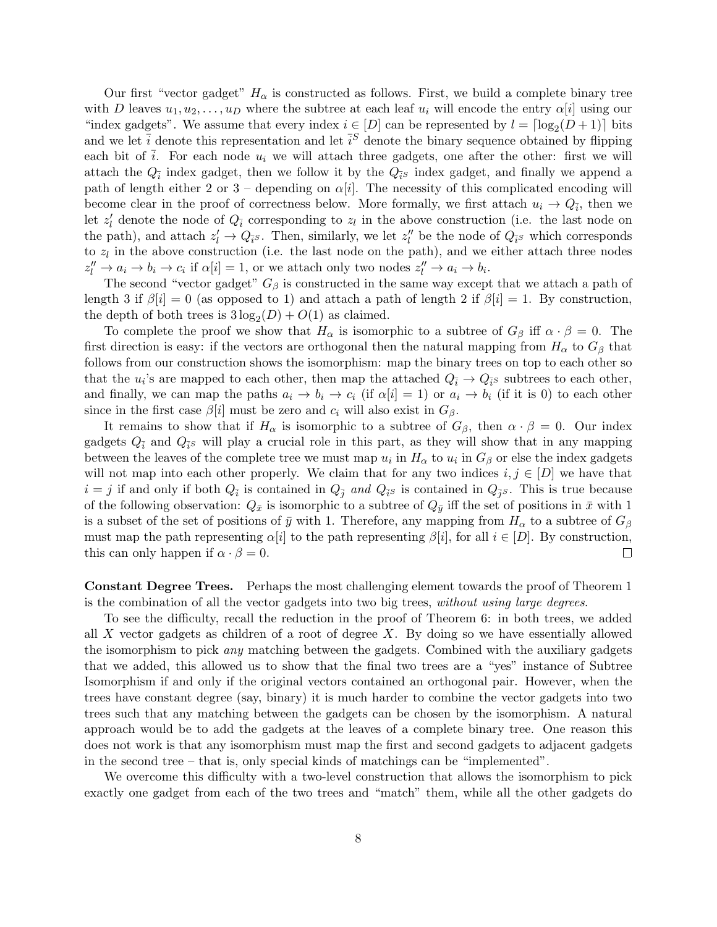Our first "vector gadget"  $H_{\alpha}$  is constructed as follows. First, we build a complete binary tree with D leaves  $u_1, u_2, \ldots, u_D$  where the subtree at each leaf  $u_i$  will encode the entry  $\alpha[i]$  using our "index gadgets". We assume that every index  $i \in [D]$  can be represented by  $l = \lceil \log_2(D + 1) \rceil$  bits and we let  $\bar{i}$  denote this representation and let  $\bar{i}^S$  denote the binary sequence obtained by flipping each bit of  $\overline{i}$ . For each node  $u_i$  we will attach three gadgets, one after the other: first we will attach the  $Q_{\bar{i}}$  index gadget, then we follow it by the  $Q_{\bar{i}}s$  index gadget, and finally we append a path of length either 2 or 3 – depending on  $\alpha[i]$ . The necessity of this complicated encoding will become clear in the proof of correctness below. More formally, we first attach  $u_i \to Q_{\bar{i}}$ , then we let  $z'_{l}$  denote the node of  $Q_{\bar{i}}$  corresponding to  $z_{l}$  in the above construction (i.e. the last node on the path), and attach  $z'_l \to Q_{\bar{i}s}$ . Then, similarly, we let  $z''_l$  be the node of  $Q_{\bar{i}s}$  which corresponds to  $z_l$  in the above construction (i.e. the last node on the path), and we either attach three nodes  $z_l'' \to a_i \to b_i \to c_i$  if  $\alpha[i] = 1$ , or we attach only two nodes  $z_l'' \to a_i \to b_i$ .

The second "vector gadget"  $G_\beta$  is constructed in the same way except that we attach a path of length 3 if  $\beta[i] = 0$  (as opposed to 1) and attach a path of length 2 if  $\beta[i] = 1$ . By construction, the depth of both trees is  $3\log_2(D) + O(1)$  as claimed.

To complete the proof we show that  $H_{\alpha}$  is isomorphic to a subtree of  $G_{\beta}$  iff  $\alpha \cdot \beta = 0$ . The first direction is easy: if the vectors are orthogonal then the natural mapping from  $H_{\alpha}$  to  $G_{\beta}$  that follows from our construction shows the isomorphism: map the binary trees on top to each other so that the  $u_i$ 's are mapped to each other, then map the attached  $Q_i \to Q_i$ 's subtrees to each other, and finally, we can map the paths  $a_i \to b_i \to c_i$  (if  $\alpha[i] = 1$ ) or  $a_i \to b_i$  (if it is 0) to each other since in the first case  $\beta[i]$  must be zero and  $c_i$  will also exist in  $G_\beta$ .

It remains to show that if  $H_{\alpha}$  is isomorphic to a subtree of  $G_{\beta}$ , then  $\alpha \cdot \beta = 0$ . Our index gadgets  $Q_{\bar{i}}$  and  $Q_{\bar{i}}$  will play a crucial role in this part, as they will show that in any mapping between the leaves of the complete tree we must map  $u_i$  in  $H_\alpha$  to  $u_i$  in  $G_\beta$  or else the index gadgets will not map into each other properly. We claim that for any two indices  $i, j \in [D]$  we have that  $i = j$  if and only if both  $Q_{\bar{i}}$  is contained in  $Q_{\bar{j}}$  and  $Q_{\bar{i}}$ s is contained in  $Q_{\bar{j}}$ s. This is true because of the following observation:  $Q_{\bar{x}}$  is isomorphic to a subtree of  $Q_{\bar{y}}$  iff the set of positions in  $\bar{x}$  with 1 is a subset of the set of positions of  $\bar{y}$  with 1. Therefore, any mapping from  $H_{\alpha}$  to a subtree of  $G_{\beta}$ must map the path representing  $\alpha[i]$  to the path representing  $\beta[i]$ , for all  $i \in [D]$ . By construction, this can only happen if  $\alpha \cdot \beta = 0$ .  $\Box$ 

Constant Degree Trees. Perhaps the most challenging element towards the proof of Theorem 1 is the combination of all the vector gadgets into two big trees, without using large degrees.

To see the difficulty, recall the reduction in the proof of Theorem 6: in both trees, we added all X vector gadgets as children of a root of degree  $X$ . By doing so we have essentially allowed the isomorphism to pick any matching between the gadgets. Combined with the auxiliary gadgets that we added, this allowed us to show that the final two trees are a "yes" instance of Subtree Isomorphism if and only if the original vectors contained an orthogonal pair. However, when the trees have constant degree (say, binary) it is much harder to combine the vector gadgets into two trees such that any matching between the gadgets can be chosen by the isomorphism. A natural approach would be to add the gadgets at the leaves of a complete binary tree. One reason this does not work is that any isomorphism must map the first and second gadgets to adjacent gadgets in the second tree – that is, only special kinds of matchings can be "implemented".

We overcome this difficulty with a two-level construction that allows the isomorphism to pick exactly one gadget from each of the two trees and "match" them, while all the other gadgets do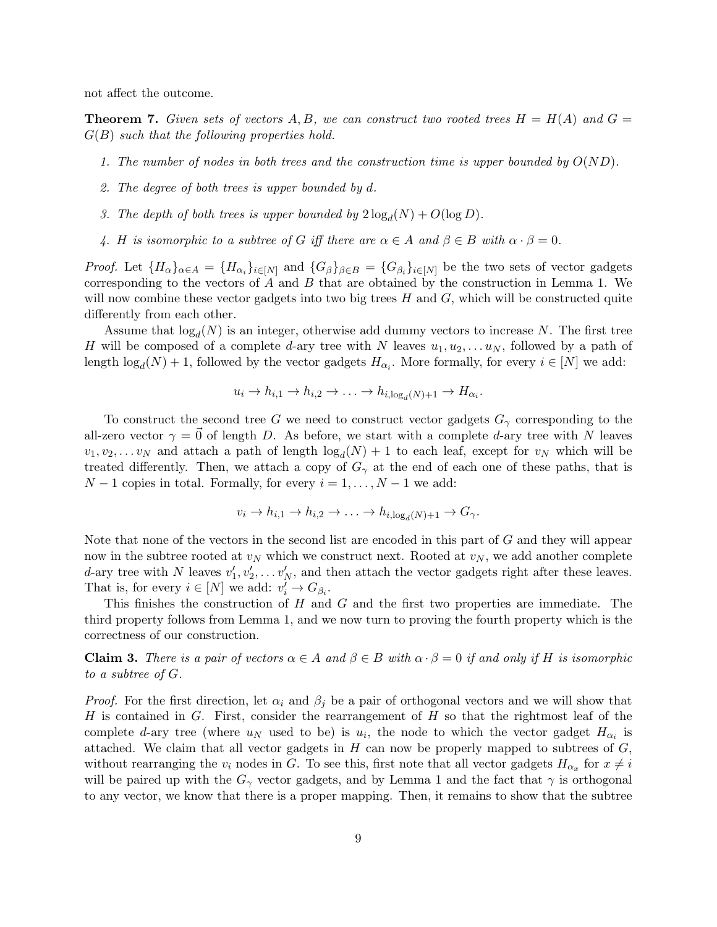not affect the outcome.

**Theorem 7.** Given sets of vectors A, B, we can construct two rooted trees  $H = H(A)$  and  $G =$  $G(B)$  such that the following properties hold.

- 1. The number of nodes in both trees and the construction time is upper bounded by  $O(ND)$ .
- 2. The degree of both trees is upper bounded by d.
- 3. The depth of both trees is upper bounded by  $2\log_d(N) + O(\log D)$ .
- 4. H is isomorphic to a subtree of G iff there are  $\alpha \in A$  and  $\beta \in B$  with  $\alpha \cdot \beta = 0$ .

*Proof.* Let  $\{H_{\alpha}\}_{{\alpha \in A}} = \{H_{\alpha_i}\}_{{i \in [N]}}$  and  $\{G_{\beta}\}_{{\beta \in B}} = \{G_{\beta_i}\}_{{i \in [N]}}$  be the two sets of vector gadgets corresponding to the vectors of  $A$  and  $B$  that are obtained by the construction in Lemma 1. We will now combine these vector gadgets into two big trees  $H$  and  $G$ , which will be constructed quite differently from each other.

Assume that  $log_d(N)$  is an integer, otherwise add dummy vectors to increase N. The first tree H will be composed of a complete d-ary tree with N leaves  $u_1, u_2, \ldots u_N$ , followed by a path of length  $log_d(N) + 1$ , followed by the vector gadgets  $H_{\alpha_i}$ . More formally, for every  $i \in [N]$  we add:

$$
u_i \to h_{i,1} \to h_{i,2} \to \ldots \to h_{i,\log_d(N)+1} \to H_{\alpha_i}.
$$

To construct the second tree G we need to construct vector gadgets  $G_{\gamma}$  corresponding to the all-zero vector  $\gamma = 0$  of length D. As before, we start with a complete d-ary tree with N leaves  $v_1, v_2, \ldots v_N$  and attach a path of length  $log_d(N) + 1$  to each leaf, except for  $v_N$  which will be treated differently. Then, we attach a copy of  $G_{\gamma}$  at the end of each one of these paths, that is  $N-1$  copies in total. Formally, for every  $i=1,\ldots,N-1$  we add:

$$
v_i \to h_{i,1} \to h_{i,2} \to \ldots \to h_{i,\log_d(N)+1} \to G_\gamma.
$$

Note that none of the vectors in the second list are encoded in this part of G and they will appear now in the subtree rooted at  $v_N$  which we construct next. Rooted at  $v_N$ , we add another complete d-ary tree with N leaves  $v'_1, v'_2, \ldots v'_N$ , and then attach the vector gadgets right after these leaves. That is, for every  $i \in [N]$  we add:  $v'_i \to G_{\beta_i}$ .

This finishes the construction of  $H$  and  $G$  and the first two properties are immediate. The third property follows from Lemma 1, and we now turn to proving the fourth property which is the correctness of our construction.

**Claim 3.** There is a pair of vectors  $\alpha \in A$  and  $\beta \in B$  with  $\alpha \cdot \beta = 0$  if and only if H is isomorphic to a subtree of G.

*Proof.* For the first direction, let  $\alpha_i$  and  $\beta_j$  be a pair of orthogonal vectors and we will show that H is contained in G. First, consider the rearrangement of  $H$  so that the rightmost leaf of the complete d-ary tree (where  $u_N$  used to be) is  $u_i$ , the node to which the vector gadget  $H_{\alpha_i}$  is attached. We claim that all vector gadgets in  $H$  can now be properly mapped to subtrees of  $G$ , without rearranging the  $v_i$  nodes in G. To see this, first note that all vector gadgets  $H_{\alpha_x}$  for  $x \neq i$ will be paired up with the  $G_{\gamma}$  vector gadgets, and by Lemma 1 and the fact that  $\gamma$  is orthogonal to any vector, we know that there is a proper mapping. Then, it remains to show that the subtree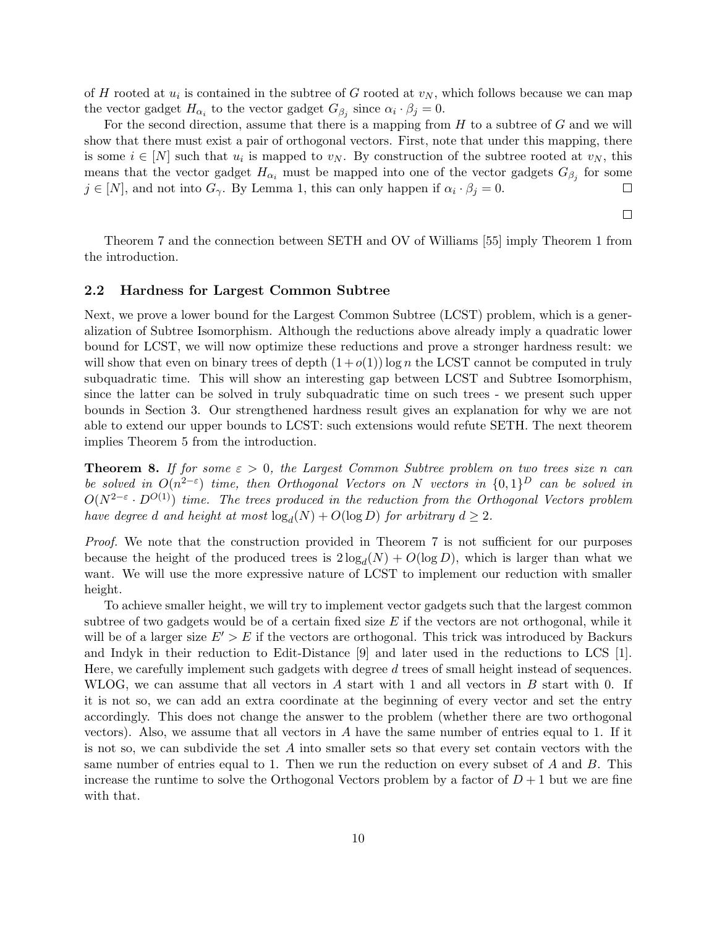of H rooted at  $u_i$  is contained in the subtree of G rooted at  $v_N$ , which follows because we can map the vector gadget  $H_{\alpha_i}$  to the vector gadget  $G_{\beta_j}$  since  $\alpha_i \cdot \beta_j = 0$ .

For the second direction, assume that there is a mapping from  $H$  to a subtree of  $G$  and we will show that there must exist a pair of orthogonal vectors. First, note that under this mapping, there is some  $i \in [N]$  such that  $u_i$  is mapped to  $v_N$ . By construction of the subtree rooted at  $v_N$ , this means that the vector gadget  $H_{\alpha_i}$  must be mapped into one of the vector gadgets  $G_{\beta_j}$  for some  $j \in [N]$ , and not into  $G_{\gamma}$ . By Lemma 1, this can only happen if  $\alpha_i \cdot \beta_j = 0$ .  $\Box$ 

 $\Box$ 

Theorem 7 and the connection between SETH and OV of Williams [55] imply Theorem 1 from the introduction.

#### 2.2 Hardness for Largest Common Subtree

Next, we prove a lower bound for the Largest Common Subtree (LCST) problem, which is a generalization of Subtree Isomorphism. Although the reductions above already imply a quadratic lower bound for LCST, we will now optimize these reductions and prove a stronger hardness result: we will show that even on binary trees of depth  $(1+o(1))$  log n the LCST cannot be computed in truly subquadratic time. This will show an interesting gap between LCST and Subtree Isomorphism, since the latter can be solved in truly subquadratic time on such trees - we present such upper bounds in Section 3. Our strengthened hardness result gives an explanation for why we are not able to extend our upper bounds to LCST: such extensions would refute SETH. The next theorem implies Theorem 5 from the introduction.

**Theorem 8.** If for some  $\varepsilon > 0$ , the Largest Common Subtree problem on two trees size n can be solved in  $O(n^{2-\epsilon})$  time, then Orthogonal Vectors on N vectors in  $\{0,1\}^D$  can be solved in  $O(N^{2-\varepsilon} \cdot D^{O(1)})$  time. The trees produced in the reduction from the Orthogonal Vectors problem have degree d and height at most  $\log_d(N) + O(\log D)$  for arbitrary  $d \geq 2$ .

Proof. We note that the construction provided in Theorem 7 is not sufficient for our purposes because the height of the produced trees is  $2 \log_d(N) + O(\log D)$ , which is larger than what we want. We will use the more expressive nature of LCST to implement our reduction with smaller height.

To achieve smaller height, we will try to implement vector gadgets such that the largest common subtree of two gadgets would be of a certain fixed size  $E$  if the vectors are not orthogonal, while it will be of a larger size  $E' > E$  if the vectors are orthogonal. This trick was introduced by Backurs and Indyk in their reduction to Edit-Distance [9] and later used in the reductions to LCS [1]. Here, we carefully implement such gadgets with degree d trees of small height instead of sequences. WLOG, we can assume that all vectors in A start with 1 and all vectors in B start with 0. If it is not so, we can add an extra coordinate at the beginning of every vector and set the entry accordingly. This does not change the answer to the problem (whether there are two orthogonal vectors). Also, we assume that all vectors in  $A$  have the same number of entries equal to 1. If it is not so, we can subdivide the set A into smaller sets so that every set contain vectors with the same number of entries equal to 1. Then we run the reduction on every subset of  $A$  and  $B$ . This increase the runtime to solve the Orthogonal Vectors problem by a factor of  $D+1$  but we are fine with that.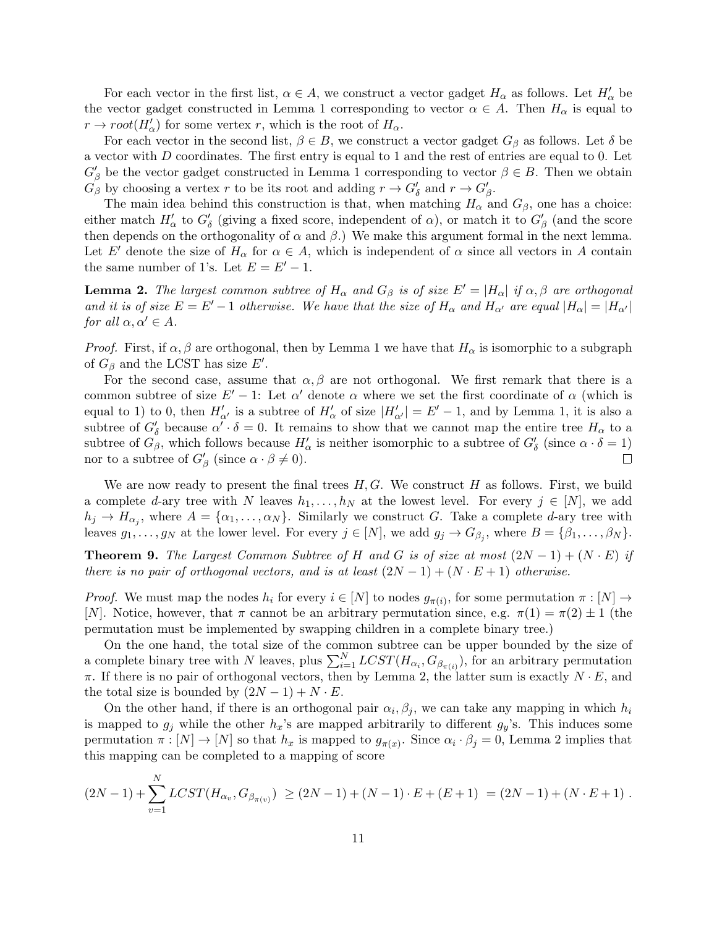For each vector in the first list,  $\alpha \in A$ , we construct a vector gadget  $H_{\alpha}$  as follows. Let  $H'_{\alpha}$  be the vector gadget constructed in Lemma 1 corresponding to vector  $\alpha \in A$ . Then  $H_{\alpha}$  is equal to  $r \to root(H'_\alpha)$  for some vertex r, which is the root of  $H_\alpha$ .

For each vector in the second list,  $\beta \in B$ , we construct a vector gadget  $G_{\beta}$  as follows. Let  $\delta$  be a vector with D coordinates. The first entry is equal to 1 and the rest of entries are equal to 0. Let  $G'_{\beta}$  be the vector gadget constructed in Lemma 1 corresponding to vector  $\beta \in B$ . Then we obtain  $G_{\beta}$  by choosing a vertex r to be its root and adding  $r \to G'_{\delta}$  and  $r \to G'_{\beta}$ .

The main idea behind this construction is that, when matching  $H_{\alpha}$  and  $G_{\beta}$ , one has a choice: either match  $H'_\alpha$  to  $G'_\delta$  (giving a fixed score, independent of  $\alpha$ ), or match it to  $G'_\beta$  (and the score then depends on the orthogonality of  $\alpha$  and  $\beta$ .) We make this argument formal in the next lemma. Let E' denote the size of  $H_{\alpha}$  for  $\alpha \in A$ , which is independent of  $\alpha$  since all vectors in A contain the same number of 1's. Let  $E = E' - 1$ .

**Lemma 2.** The largest common subtree of  $H_{\alpha}$  and  $G_{\beta}$  is of size  $E' = |H_{\alpha}|$  if  $\alpha, \beta$  are orthogonal and it is of size  $E = E' - 1$  otherwise. We have that the size of  $H_\alpha$  and  $H_{\alpha'}$  are equal  $|H_\alpha| = |H_{\alpha'}|$ for all  $\alpha, \alpha' \in A$ .

*Proof.* First, if  $\alpha$ ,  $\beta$  are orthogonal, then by Lemma 1 we have that  $H_{\alpha}$  is isomorphic to a subgraph of  $G_{\beta}$  and the LCST has size E'.

For the second case, assume that  $\alpha, \beta$  are not orthogonal. We first remark that there is a common subtree of size  $E'-1$ : Let  $\alpha'$  denote  $\alpha$  where we set the first coordinate of  $\alpha$  (which is equal to 1) to 0, then  $H'_{\alpha'}$  is a subtree of  $H'_{\alpha}$  of size  $|H'_{\alpha'}| = E' - 1$ , and by Lemma 1, it is also a subtree of  $G'_{\delta}$  because  $\alpha' \cdot \delta = 0$ . It remains to show that we cannot map the entire tree  $H_{\alpha}$  to a subtree of  $G_{\beta}$ , which follows because  $H'_{\alpha}$  is neither isomorphic to a subtree of  $G'_{\delta}$  (since  $\alpha \cdot \delta = 1$ ) nor to a subtree of  $G'_{\beta}$  (since  $\alpha \cdot \beta \neq 0$ ).  $\Box$ 

We are now ready to present the final trees  $H, G$ . We construct H as follows. First, we build a complete d-ary tree with N leaves  $h_1, \ldots, h_N$  at the lowest level. For every  $j \in [N]$ , we add  $h_j \to H_{\alpha_j}$ , where  $A = {\alpha_1, \ldots, \alpha_N}$ . Similarly we construct G. Take a complete d-ary tree with leaves  $g_1, \ldots, g_N$  at the lower level. For every  $j \in [N]$ , we add  $g_j \to G_{\beta_j}$ , where  $B = \{\beta_1, \ldots, \beta_N\}$ .

**Theorem 9.** The Largest Common Subtree of H and G is of size at most  $(2N-1) + (N \cdot E)$  if there is no pair of orthogonal vectors, and is at least  $(2N-1) + (N \cdot E + 1)$  otherwise.

*Proof.* We must map the nodes  $h_i$  for every  $i \in [N]$  to nodes  $g_{\pi(i)}$ , for some permutation  $\pi : [N] \to$ [N]. Notice, however, that  $\pi$  cannot be an arbitrary permutation since, e.g.  $\pi(1) = \pi(2) \pm 1$  (the permutation must be implemented by swapping children in a complete binary tree.)

On the one hand, the total size of the common subtree can be upper bounded by the size of a complete binary tree with N leaves, plus  $\sum_{i=1}^{N} LCST(H_{\alpha_i}, G_{\beta_{\pi(i)}})$ , for an arbitrary permutation  $\pi$ . If there is no pair of orthogonal vectors, then by Lemma 2, the latter sum is exactly  $N \cdot E$ , and the total size is bounded by  $(2N-1) + N \cdot E$ .

On the other hand, if there is an orthogonal pair  $\alpha_i, \beta_j$ , we can take any mapping in which  $h_i$ is mapped to  $g_j$  while the other  $h_x$ 's are mapped arbitrarily to different  $g_y$ 's. This induces some permutation  $\pi : [N] \to [N]$  so that  $h_x$  is mapped to  $g_{\pi(x)}$ . Since  $\alpha_i \cdot \beta_j = 0$ , Lemma 2 implies that this mapping can be completed to a mapping of score

$$
(2N-1) + \sum_{v=1}^{N} LCST(H_{\alpha_v}, G_{\beta_{\pi(v)}}) \geq (2N-1) + (N-1) \cdot E + (E+1) = (2N-1) + (N \cdot E + 1).
$$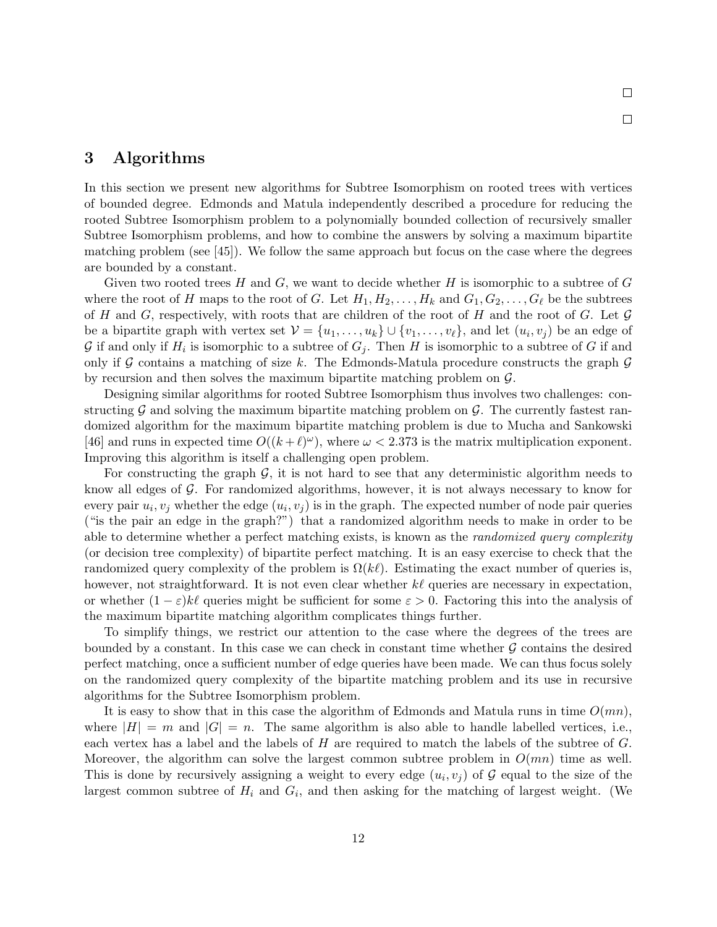## 3 Algorithms

In this section we present new algorithms for Subtree Isomorphism on rooted trees with vertices of bounded degree. Edmonds and Matula independently described a procedure for reducing the rooted Subtree Isomorphism problem to a polynomially bounded collection of recursively smaller Subtree Isomorphism problems, and how to combine the answers by solving a maximum bipartite matching problem (see [45]). We follow the same approach but focus on the case where the degrees are bounded by a constant.

 $\Box$ 

 $\Box$ 

Given two rooted trees  $H$  and  $G$ , we want to decide whether  $H$  is isomorphic to a subtree of  $G$ where the root of H maps to the root of G. Let  $H_1, H_2, \ldots, H_k$  and  $G_1, G_2, \ldots, G_\ell$  be the subtrees of H and G, respectively, with roots that are children of the root of H and the root of G. Let  $\mathcal G$ be a bipartite graph with vertex set  $\mathcal{V} = \{u_1, \ldots, u_k\} \cup \{v_1, \ldots, v_\ell\}$ , and let  $(u_i, v_j)$  be an edge of G if and only if  $H_i$  is isomorphic to a subtree of  $G_j$ . Then H is isomorphic to a subtree of G if and only if G contains a matching of size k. The Edmonds-Matula procedure constructs the graph  $\mathcal G$ by recursion and then solves the maximum bipartite matching problem on G.

Designing similar algorithms for rooted Subtree Isomorphism thus involves two challenges: constructing  $\mathcal G$  and solving the maximum bipartite matching problem on  $\mathcal G$ . The currently fastest randomized algorithm for the maximum bipartite matching problem is due to Mucha and Sankowski [46] and runs in expected time  $O((k+\ell)^{\omega})$ , where  $\omega < 2.373$  is the matrix multiplication exponent. Improving this algorithm is itself a challenging open problem.

For constructing the graph  $G$ , it is not hard to see that any deterministic algorithm needs to know all edges of  $\mathcal G$ . For randomized algorithms, however, it is not always necessary to know for every pair  $u_i, v_j$  whether the edge  $(u_i, v_j)$  is in the graph. The expected number of node pair queries ("is the pair an edge in the graph?") that a randomized algorithm needs to make in order to be able to determine whether a perfect matching exists, is known as the *randomized query complexity* (or decision tree complexity) of bipartite perfect matching. It is an easy exercise to check that the randomized query complexity of the problem is  $\Omega(k\ell)$ . Estimating the exact number of queries is, however, not straightforward. It is not even clear whether  $k\ell$  queries are necessary in expectation, or whether  $(1 - \varepsilon)k\ell$  queries might be sufficient for some  $\varepsilon > 0$ . Factoring this into the analysis of the maximum bipartite matching algorithm complicates things further.

To simplify things, we restrict our attention to the case where the degrees of the trees are bounded by a constant. In this case we can check in constant time whether  $\mathcal G$  contains the desired perfect matching, once a sufficient number of edge queries have been made. We can thus focus solely on the randomized query complexity of the bipartite matching problem and its use in recursive algorithms for the Subtree Isomorphism problem.

It is easy to show that in this case the algorithm of Edmonds and Matula runs in time  $O(mn)$ , where  $|H| = m$  and  $|G| = n$ . The same algorithm is also able to handle labelled vertices, i.e., each vertex has a label and the labels of H are required to match the labels of the subtree of G. Moreover, the algorithm can solve the largest common subtree problem in  $O(mn)$  time as well. This is done by recursively assigning a weight to every edge  $(u_i, v_j)$  of G equal to the size of the largest common subtree of  $H_i$  and  $G_i$ , and then asking for the matching of largest weight. (We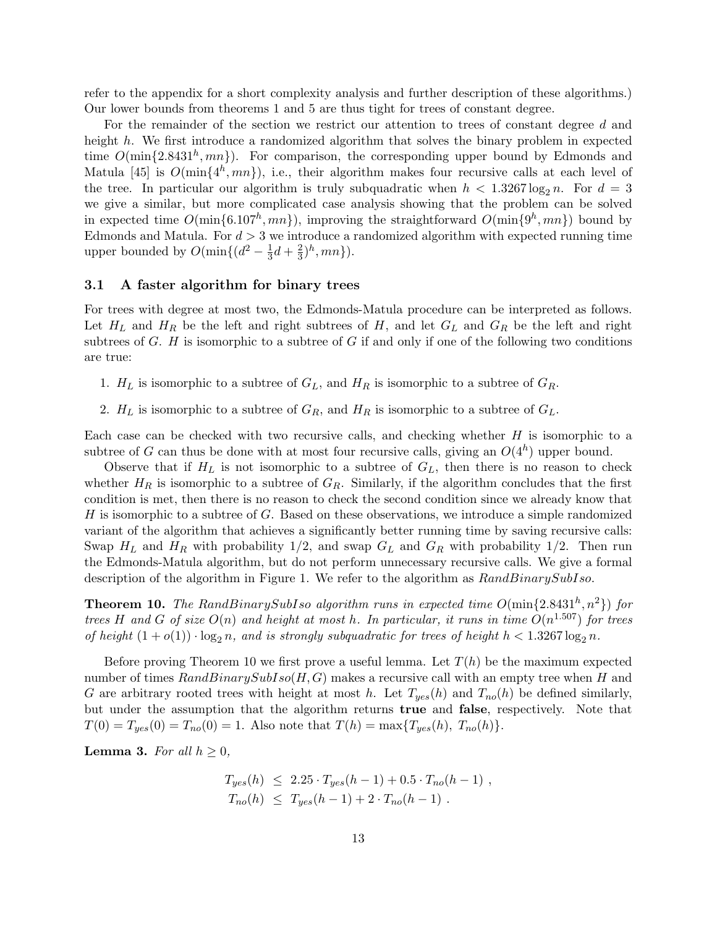refer to the appendix for a short complexity analysis and further description of these algorithms.) Our lower bounds from theorems 1 and 5 are thus tight for trees of constant degree.

For the remainder of the section we restrict our attention to trees of constant degree d and height h. We first introduce a randomized algorithm that solves the binary problem in expected time  $O(\min\{2.8431^h, mn\})$ . For comparison, the corresponding upper bound by Edmonds and Matula [45] is  $O(\min\{4^h, mn\})$ , i.e., their algorithm makes four recursive calls at each level of the tree. In particular our algorithm is truly subquadratic when  $h < 1.3267 \log_2 n$ . For  $d = 3$ we give a similar, but more complicated case analysis showing that the problem can be solved in expected time  $O(\min\{6.107^h, mn\})$ , improving the straightforward  $O(\min\{9^h, mn\})$  bound by Edmonds and Matula. For  $d > 3$  we introduce a randomized algorithm with expected running time upper bounded by  $O(\min\{(d^2-\frac{1}{3}))\}$  $rac{1}{3}d + \frac{2}{3}$  $(\frac{2}{3})^h, mn\}).$ 

#### 3.1 A faster algorithm for binary trees

For trees with degree at most two, the Edmonds-Matula procedure can be interpreted as follows. Let  $H_L$  and  $H_R$  be the left and right subtrees of H, and let  $G_L$  and  $G_R$  be the left and right subtrees of  $G$ .  $H$  is isomorphic to a subtree of  $G$  if and only if one of the following two conditions are true:

- 1.  $H_L$  is isomorphic to a subtree of  $G_L$ , and  $H_R$  is isomorphic to a subtree of  $G_R$ .
- 2.  $H_L$  is isomorphic to a subtree of  $G_R$ , and  $H_R$  is isomorphic to a subtree of  $G_L$ .

Each case can be checked with two recursive calls, and checking whether  $H$  is isomorphic to a subtree of G can thus be done with at most four recursive calls, giving an  $O(4<sup>h</sup>)$  upper bound.

Observe that if  $H_L$  is not isomorphic to a subtree of  $G_L$ , then there is no reason to check whether  $H_R$  is isomorphic to a subtree of  $G_R$ . Similarly, if the algorithm concludes that the first condition is met, then there is no reason to check the second condition since we already know that H is isomorphic to a subtree of G. Based on these observations, we introduce a simple randomized variant of the algorithm that achieves a significantly better running time by saving recursive calls: Swap  $H_L$  and  $H_R$  with probability 1/2, and swap  $G_L$  and  $G_R$  with probability 1/2. Then run the Edmonds-Matula algorithm, but do not perform unnecessary recursive calls. We give a formal description of the algorithm in Figure 1. We refer to the algorithm as  $RandBinarySubIso$ .

**Theorem 10.** The RandBinarySubIso algorithm runs in expected time  $O(\min\{2.8431^h, n^2\})$  for trees H and G of size  $O(n)$  and height at most h. In particular, it runs in time  $O(n^{1.507})$  for trees of height  $(1 + o(1)) \cdot \log_2 n$ , and is strongly subquadratic for trees of height  $h < 1.3267 \log_2 n$ .

Before proving Theorem 10 we first prove a useful lemma. Let  $T(h)$  be the maximum expected number of times  $RandBinarySubIso(H, G)$  makes a recursive call with an empty tree when H and G are arbitrary rooted trees with height at most h. Let  $T_{yes}(h)$  and  $T_{no}(h)$  be defined similarly, but under the assumption that the algorithm returns true and false, respectively. Note that  $T(0) = T_{yes}(0) = T_{no}(0) = 1$ . Also note that  $T(h) = \max\{T_{yes}(h), T_{no}(h)\}.$ 

**Lemma 3.** For all  $h \geq 0$ ,

$$
T_{yes}(h) \le 2.25 \cdot T_{yes}(h-1) + 0.5 \cdot T_{no}(h-1) ,
$$
  
\n
$$
T_{no}(h) \le T_{yes}(h-1) + 2 \cdot T_{no}(h-1) .
$$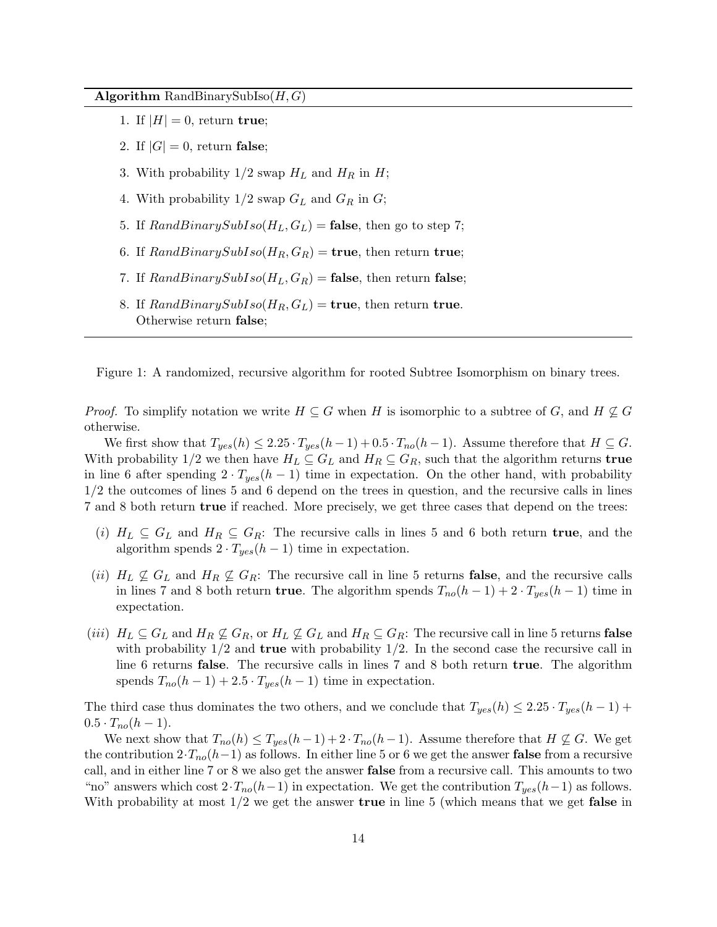Algorithm RandBinarySubIso $(H, G)$ 

- 1. If  $|H| = 0$ , return true;
- 2. If  $|G|=0$ , return false;
- 3. With probability  $1/2$  swap  $H_L$  and  $H_R$  in  $H$ ;
- 4. With probability  $1/2$  swap  $G_L$  and  $G_R$  in  $G$ ;
- 5. If  $RandBinarySubIso(H_L, G_L) = \textbf{false}$ , then go to step 7;
- 6. If  $RandBinarySubIso(H_R, G_R) = \text{true}$ , then return true;
- 7. If  $RandBinarySubIso(H_L, G_R) = \textbf{false}$ , then return false;
- 8. If  $RandBinarySubIso(H_R, G_L) = \text{true}$ , then return true. Otherwise return false;

Figure 1: A randomized, recursive algorithm for rooted Subtree Isomorphism on binary trees.

*Proof.* To simplify notation we write  $H \subseteq G$  when H is isomorphic to a subtree of G, and  $H \nsubseteq G$ otherwise.

We first show that  $T_{yes}(h) \leq 2.25 \cdot T_{yes}(h-1) + 0.5 \cdot T_{no}(h-1)$ . Assume therefore that  $H \subseteq G$ . With probability 1/2 we then have  $H_L \subseteq G_L$  and  $H_R \subseteq G_R$ , such that the algorithm returns **true** in line 6 after spending  $2 \cdot T_{yes}(h-1)$  time in expectation. On the other hand, with probability 1/2 the outcomes of lines 5 and 6 depend on the trees in question, and the recursive calls in lines 7 and 8 both return true if reached. More precisely, we get three cases that depend on the trees:

- (i)  $H_L \subseteq G_L$  and  $H_R \subseteq G_R$ : The recursive calls in lines 5 and 6 both return **true**, and the algorithm spends  $2 \cdot T_{yes}(h-1)$  time in expectation.
- (ii)  $H_L \nsubseteq G_L$  and  $H_R \nsubseteq G_R$ : The recursive call in line 5 returns false, and the recursive calls in lines 7 and 8 both return **true**. The algorithm spends  $T_{no}(h-1) + 2 \cdot T_{yes}(h-1)$  time in expectation.
- (iii)  $H_L \subseteq G_L$  and  $H_R \nsubseteq G_R$ , or  $H_L \nsubseteq G_L$  and  $H_R \subseteq G_R$ : The recursive call in line 5 returns false with probability  $1/2$  and **true** with probability  $1/2$ . In the second case the recursive call in line 6 returns false. The recursive calls in lines 7 and 8 both return true. The algorithm spends  $T_{no}(h-1) + 2.5 \cdot T_{yes}(h-1)$  time in expectation.

The third case thus dominates the two others, and we conclude that  $T_{yes}(h) \leq 2.25 \cdot T_{yes}(h-1)$  +  $0.5 \cdot T_{no}(h-1)$ .

We next show that  $T_{no}(h) \leq T_{yes}(h-1) + 2 \cdot T_{no}(h-1)$ . Assume therefore that  $H \nsubseteq G$ . We get the contribution  $2 \cdot T_{no}(h-1)$  as follows. In either line 5 or 6 we get the answer **false** from a recursive call, and in either line 7 or 8 we also get the answer false from a recursive call. This amounts to two "no" answers which cost  $2 \cdot T_{no}(h-1)$  in expectation. We get the contribution  $T_{yes}(h-1)$  as follows. With probability at most  $1/2$  we get the answer true in line 5 (which means that we get false in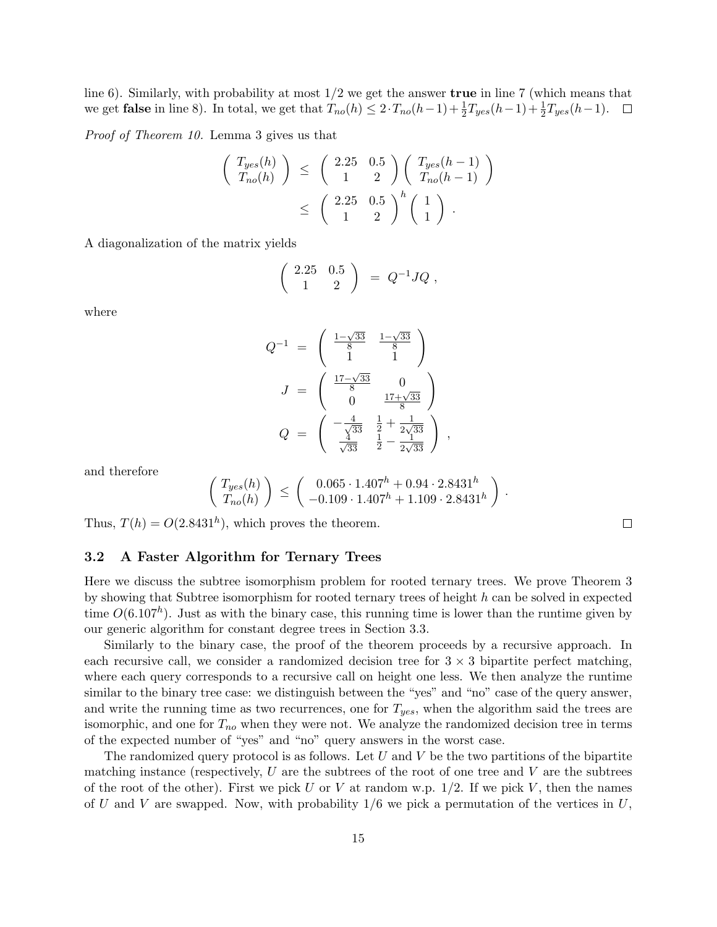line 6). Similarly, with probability at most  $1/2$  we get the answer **true** in line 7 (which means that we get **false** in line 8). In total, we get that  $T_{no}(h) \leq 2 \cdot T_{no}(h-1) + \frac{1}{2}T_{yes}(h-1) + \frac{1}{2}T_{yes}(h-1)$ .

Proof of Theorem 10. Lemma 3 gives us that

$$
\begin{pmatrix}\nT_{yes}(h) \\
T_{no}(h)\n\end{pmatrix}\n\leq\n\begin{pmatrix}\n2.25 & 0.5 \\
1 & 2\n\end{pmatrix}\n\begin{pmatrix}\nT_{yes}(h-1) \\
T_{no}(h-1)\n\end{pmatrix}\n\leq\n\begin{pmatrix}\n2.25 & 0.5 \\
1 & 2\n\end{pmatrix}^h\n\begin{pmatrix}\n1 \\
1\n\end{pmatrix}.
$$

A diagonalization of the matrix yields

$$
\left(\begin{array}{cc} 2.25 & 0.5 \\ 1 & 2 \end{array}\right) = Q^{-1}JQ,
$$

where

$$
Q^{-1} = \begin{pmatrix} \frac{1-\sqrt{33}}{8} & \frac{1-\sqrt{33}}{8} \\ 1 & 1 \end{pmatrix}
$$

$$
J = \begin{pmatrix} \frac{17-\sqrt{33}}{8} & 0 \\ 0 & \frac{17+\sqrt{33}}{8} \end{pmatrix}
$$

$$
Q = \begin{pmatrix} -\frac{4}{\sqrt{33}} & \frac{1}{2} + \frac{1}{2\sqrt{33}} \\ \frac{4}{\sqrt{33}} & \frac{1}{2} - \frac{1}{2\sqrt{33}} \end{pmatrix},
$$

and therefore

$$
\left(\begin{array}{c} T_{yes}(h) \\ T_{no}(h) \end{array}\right) \leq \left(\begin{array}{c} 0.065 \cdot 1.407^h + 0.94 \cdot 2.8431^h \\ -0.109 \cdot 1.407^h + 1.109 \cdot 2.8431^h \end{array}\right).
$$

Thus,  $T(h) = O(2.8431^h)$ , which proves the theorem.

### 3.2 A Faster Algorithm for Ternary Trees

Here we discuss the subtree isomorphism problem for rooted ternary trees. We prove Theorem 3 by showing that Subtree isomorphism for rooted ternary trees of height h can be solved in expected time  $O(6.107<sup>h</sup>)$ . Just as with the binary case, this running time is lower than the runtime given by our generic algorithm for constant degree trees in Section 3.3.

Similarly to the binary case, the proof of the theorem proceeds by a recursive approach. In each recursive call, we consider a randomized decision tree for  $3 \times 3$  bipartite perfect matching, where each query corresponds to a recursive call on height one less. We then analyze the runtime similar to the binary tree case: we distinguish between the "yes" and "no" case of the query answer, and write the running time as two recurrences, one for  $T_{yes}$ , when the algorithm said the trees are isomorphic, and one for  $T_{no}$  when they were not. We analyze the randomized decision tree in terms of the expected number of "yes" and "no" query answers in the worst case.

The randomized query protocol is as follows. Let  $U$  and  $V$  be the two partitions of the bipartite matching instance (respectively,  $U$  are the subtrees of the root of one tree and  $V$  are the subtrees of the root of the other). First we pick U or V at random w.p.  $1/2$ . If we pick V, then the names of U and V are swapped. Now, with probability  $1/6$  we pick a permutation of the vertices in U,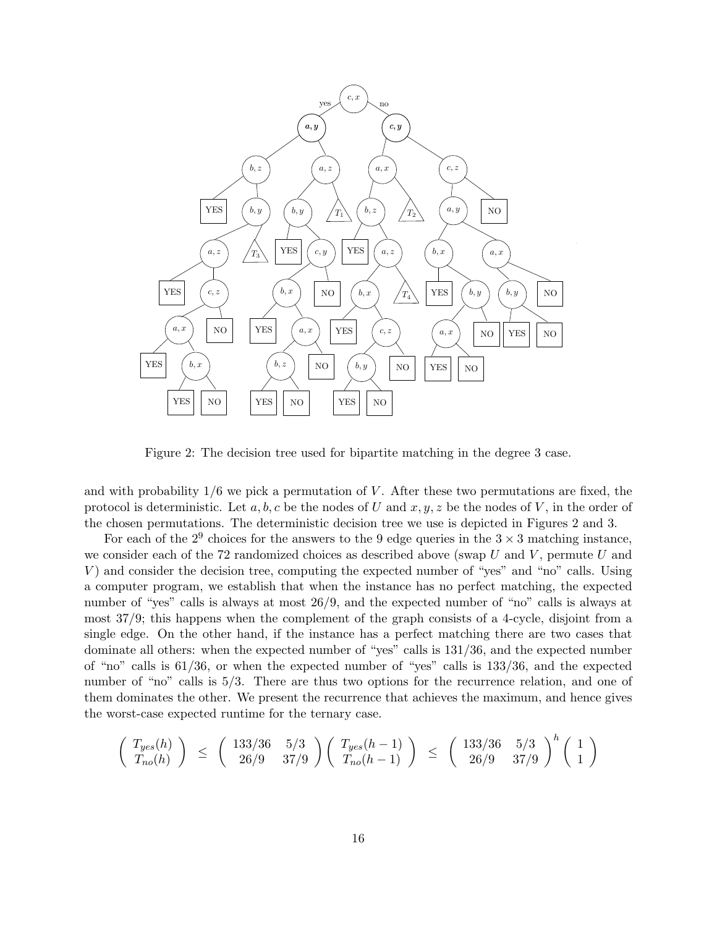

Figure 2: The decision tree used for bipartite matching in the degree 3 case.

and with probability  $1/6$  we pick a permutation of V. After these two permutations are fixed, the protocol is deterministic. Let a, b, c be the nodes of U and  $x, y, z$  be the nodes of V, in the order of the chosen permutations. The deterministic decision tree we use is depicted in Figures 2 and 3.

For each of the  $2^9$  choices for the answers to the 9 edge queries in the  $3 \times 3$  matching instance, we consider each of the 72 randomized choices as described above (swap  $U$  and  $V$ , permute  $U$  and V ) and consider the decision tree, computing the expected number of "yes" and "no" calls. Using a computer program, we establish that when the instance has no perfect matching, the expected number of "yes" calls is always at most  $26/9$ , and the expected number of "no" calls is always at most 37/9; this happens when the complement of the graph consists of a 4-cycle, disjoint from a single edge. On the other hand, if the instance has a perfect matching there are two cases that dominate all others: when the expected number of "yes" calls is 131/36, and the expected number of "no" calls is 61/36, or when the expected number of "yes" calls is 133/36, and the expected number of "no" calls is  $5/3$ . There are thus two options for the recurrence relation, and one of them dominates the other. We present the recurrence that achieves the maximum, and hence gives the worst-case expected runtime for the ternary case.

$$
\left(\begin{array}{c} T_{yes}(h) \\ T_{no}(h) \end{array}\right) \;\leq\; \left(\begin{array}{cc} 133/36 & 5/3 \\ 26/9 & 37/9 \end{array}\right) \left(\begin{array}{c} T_{yes}(h-1) \\ T_{no}(h-1) \end{array}\right) \;\leq\; \left(\begin{array}{cc} 133/36 & 5/3 \\ 26/9 & 37/9 \end{array}\right)^h \left(\begin{array}{c} 1 \\ 1 \end{array}\right)
$$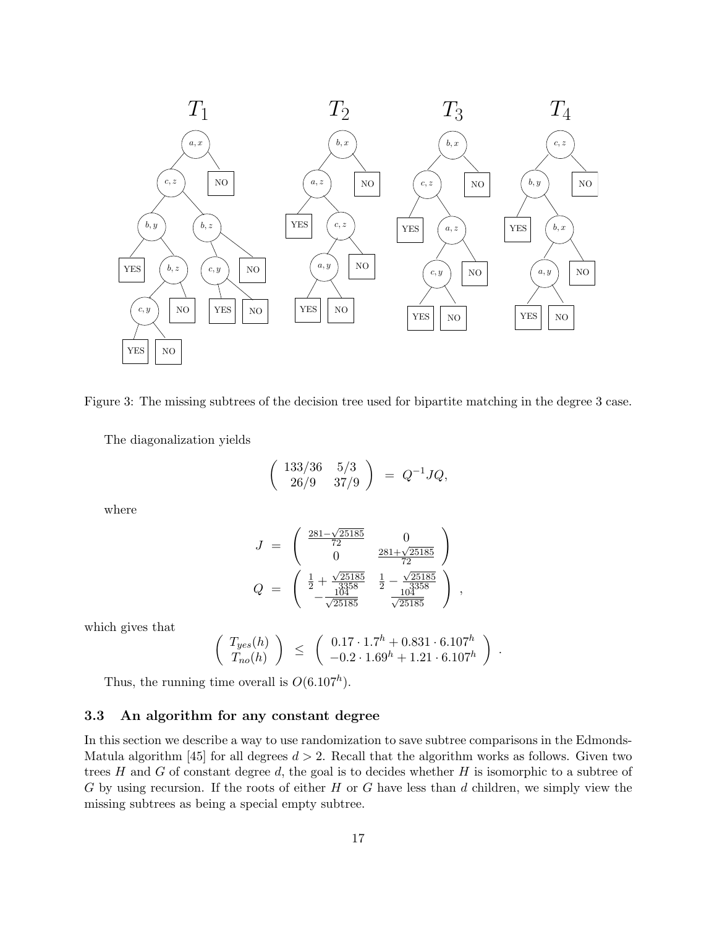

Figure 3: The missing subtrees of the decision tree used for bipartite matching in the degree 3 case.

The diagonalization yields

$$
\left(\begin{array}{cc} 133/36 & 5/3 \\ 26/9 & 37/9 \end{array}\right) = Q^{-1}JQ,
$$

where

$$
J = \begin{pmatrix} \frac{281 - \sqrt{25185}}{72} & 0\\ 0 & \frac{281 + \sqrt{25185}}{72} \end{pmatrix}
$$
  

$$
Q = \begin{pmatrix} \frac{1}{2} + \frac{\sqrt{25185}}{3358} & \frac{1}{2} - \frac{\sqrt{25185}}{3358} \\ -\frac{104}{\sqrt{25185}} & \frac{104}{\sqrt{25185}} \end{pmatrix},
$$

which gives that

$$
\left(\begin{array}{c} T_{yes}(h) \\ T_{no}(h) \end{array}\right) \leq \left(\begin{array}{c} 0.17 \cdot 1.7^h + 0.831 \cdot 6.107^h \\ -0.2 \cdot 1.69^h + 1.21 \cdot 6.107^h \end{array}\right) .
$$

Thus, the running time overall is  $O(6.107<sup>h</sup>)$ .

### 3.3 An algorithm for any constant degree

In this section we describe a way to use randomization to save subtree comparisons in the Edmonds-Matula algorithm [45] for all degrees  $d > 2$ . Recall that the algorithm works as follows. Given two trees  $H$  and  $G$  of constant degree  $d$ , the goal is to decides whether  $H$  is isomorphic to a subtree of  $G$  by using recursion. If the roots of either  $H$  or  $G$  have less than  $d$  children, we simply view the missing subtrees as being a special empty subtree.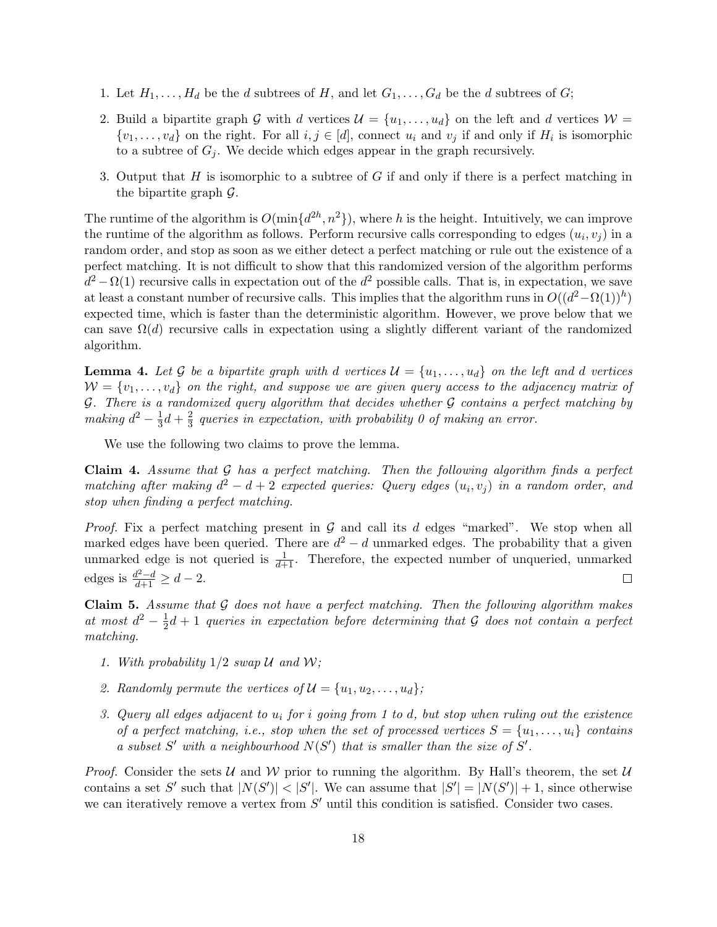- 1. Let  $H_1, \ldots, H_d$  be the d subtrees of H, and let  $G_1, \ldots, G_d$  be the d subtrees of G;
- 2. Build a bipartite graph G with d vertices  $\mathcal{U} = \{u_1, \ldots, u_d\}$  on the left and d vertices  $\mathcal{W} =$  $\{v_1, \ldots, v_d\}$  on the right. For all  $i, j \in [d]$ , connect  $u_i$  and  $v_j$  if and only if  $H_i$  is isomorphic to a subtree of  $G_i$ . We decide which edges appear in the graph recursively.
- 3. Output that  $H$  is isomorphic to a subtree of  $G$  if and only if there is a perfect matching in the bipartite graph  $\mathcal{G}$ .

The runtime of the algorithm is  $O(\min\{d^{2h}, n^2\})$ , where h is the height. Intuitively, we can improve the runtime of the algorithm as follows. Perform recursive calls corresponding to edges  $(u_i, v_j)$  in a random order, and stop as soon as we either detect a perfect matching or rule out the existence of a perfect matching. It is not difficult to show that this randomized version of the algorithm performs  $d^2 - \Omega(1)$  recursive calls in expectation out of the  $d^2$  possible calls. That is, in expectation, we save at least a constant number of recursive calls. This implies that the algorithm runs in  $O((d^2 - \Omega(1))^h)$ expected time, which is faster than the deterministic algorithm. However, we prove below that we can save  $\Omega(d)$  recursive calls in expectation using a slightly different variant of the randomized algorithm.

**Lemma 4.** Let G be a bipartite graph with d vertices  $\mathcal{U} = \{u_1, \ldots, u_d\}$  on the left and d vertices  $W = \{v_1, \ldots, v_d\}$  on the right, and suppose we are given query access to the adjacency matrix of  $G.$  There is a randomized query algorithm that decides whether  $G$  contains a perfect matching by making  $d^2 - \frac{1}{3}$  $rac{1}{3}d + \frac{2}{3}$  $\frac{2}{3}$  queries in expectation, with probability 0 of making an error.

We use the following two claims to prove the lemma.

**Claim 4.** Assume that  $G$  has a perfect matching. Then the following algorithm finds a perfect matching after making  $d^2 - d + 2$  expected queries: Query edges  $(u_i, v_j)$  in a random order, and stop when finding a perfect matching.

*Proof.* Fix a perfect matching present in  $G$  and call its d edges "marked". We stop when all marked edges have been queried. There are  $d^2 - d$  unmarked edges. The probability that a given unmarked edge is not queried is  $\frac{1}{d+1}$ . Therefore, the expected number of unqueried, unmarked edges is  $\frac{d^2-d}{d+1} \geq d-2$ .  $\Box$ 

Claim 5. Assume that  $G$  does not have a perfect matching. Then the following algorithm makes at most  $d^2 - \frac{1}{2}$  $\frac{1}{2}d+1$  queries in expectation before determining that G does not contain a perfect matching.

- 1. With probability  $1/2$  swap U and W;
- 2. Randomly permute the vertices of  $\mathcal{U} = \{u_1, u_2, \ldots, u_d\}$ ;
- 3. Query all edges adjacent to  $u_i$  for i going from 1 to d, but stop when ruling out the existence of a perfect matching, i.e., stop when the set of processed vertices  $S = \{u_1, \ldots, u_i\}$  contains a subset  $S'$  with a neighbourhood  $N(S')$  that is smaller than the size of  $S'$ .

*Proof.* Consider the sets U and W prior to running the algorithm. By Hall's theorem, the set U contains a set S' such that  $|N(S')| < |S'|$ . We can assume that  $|S'| = |N(S')| + 1$ , since otherwise we can iteratively remove a vertex from  $S'$  until this condition is satisfied. Consider two cases.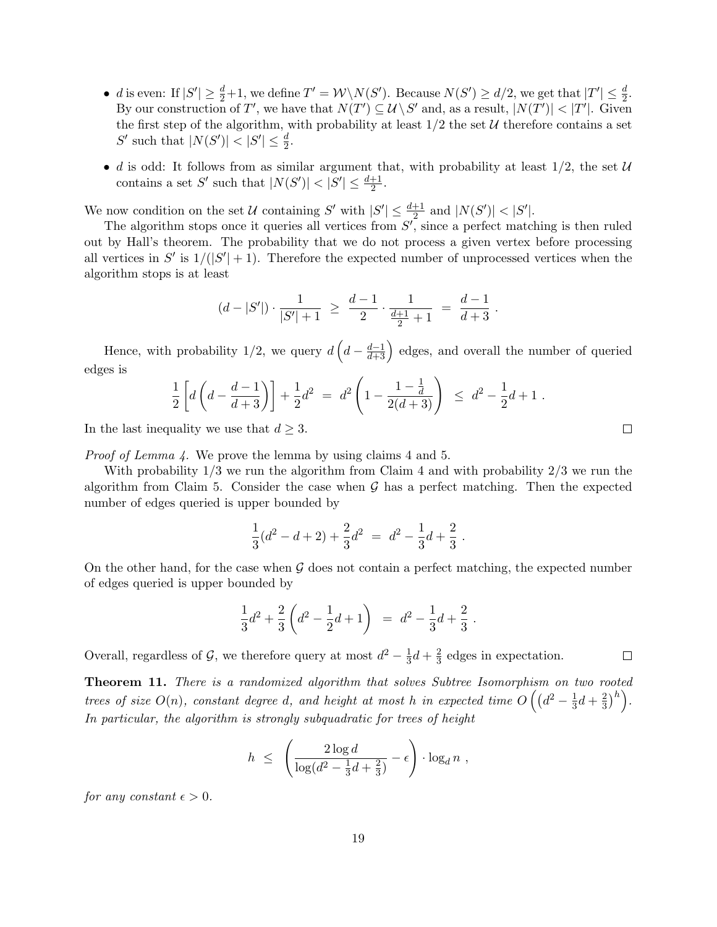- d is even: If  $|S'| \ge \frac{d}{2}+1$ , we define  $T' = \mathcal{W} \setminus N(S')$ . Because  $N(S') \ge d/2$ , we get that  $|T'| \le \frac{d}{2}$ . By our construction of T', we have that  $N(T') \subseteq \mathcal{U} \backslash S'$  and, as a result,  $|N(T')| < |T'|$ . Given the first step of the algorithm, with probability at least  $1/2$  the set U therefore contains a set S' such that  $|N(S')| < |S'| \leq \frac{d}{2}$ .
- d is odd: It follows from as similar argument that, with probability at least  $1/2$ , the set  $\mathcal U$ contains a set S' such that  $|N(S')| < |S'| \leq \frac{d+1}{2}$ .

We now condition on the set U containing S' with  $|S'| \leq \frac{d+1}{2}$  and  $|N(S')| < |S'|$ .

The algorithm stops once it queries all vertices from  $S'$ , since a perfect matching is then ruled out by Hall's theorem. The probability that we do not process a given vertex before processing all vertices in  $S'$  is  $1/(|S'|+1)$ . Therefore the expected number of unprocessed vertices when the algorithm stops is at least

$$
(d-|S'|)\cdot \frac{1}{|S'|+1} \ \geq \ \frac{d-1}{2}\cdot \frac{1}{\frac{d+1}{2}+1} \ = \ \frac{d-1}{d+3} \ .
$$

Hence, with probability  $1/2$ , we query  $d\left(d - \frac{d-1}{d+3}\right)$  edges, and overall the number of queried edges is

$$
\frac{1}{2}\left[d\left(d-\frac{d-1}{d+3}\right)\right]+\frac{1}{2}d^2\ =\ d^2\left(1-\frac{1-\frac{1}{d}}{2(d+3)}\right)\ \leq\ d^2-\frac{1}{2}d+1\ .
$$

In the last inequality we use that  $d \geq 3$ .

Proof of Lemma 4. We prove the lemma by using claims 4 and 5.

With probability  $1/3$  we run the algorithm from Claim 4 and with probability  $2/3$  we run the algorithm from Claim 5. Consider the case when  $\mathcal G$  has a perfect matching. Then the expected number of edges queried is upper bounded by

$$
\frac{1}{3}(d^2 - d + 2) + \frac{2}{3}d^2 = d^2 - \frac{1}{3}d + \frac{2}{3}.
$$

On the other hand, for the case when  $G$  does not contain a perfect matching, the expected number of edges queried is upper bounded by

$$
\frac{1}{3}d^2 + \frac{2}{3}\left(d^2 - \frac{1}{2}d + 1\right) = d^2 - \frac{1}{3}d + \frac{2}{3}.
$$

Overall, regardless of  $\mathcal{G}$ , we therefore query at most  $d^2 - \frac{1}{3}$  $rac{1}{3}d + \frac{2}{3}$  $\frac{2}{3}$  edges in expectation.

Theorem 11. There is a randomized algorithm that solves Subtree Isomorphism on two rooted trees of size  $O(n)$ , constant degree d, and height at most h in expected time  $O\left((d^2-\frac{1}{3})\right)$  $rac{1}{3}d + \frac{2}{3}$  $\left(\frac{2}{3}\right)^h$ . In particular, the algorithm is strongly subquadratic for trees of height

$$
h \leq \left(\frac{2\log d}{\log(d^2 - \frac{1}{3}d + \frac{2}{3})} - \epsilon\right) \cdot \log_d n ,
$$

for any constant  $\epsilon > 0$ .

 $\Box$ 

 $\Box$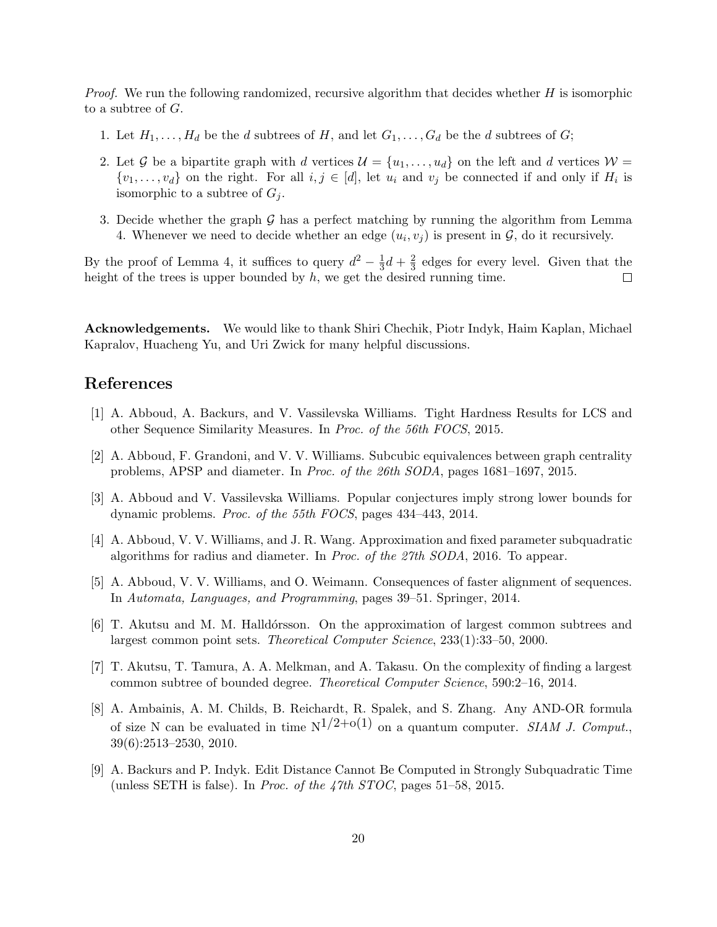*Proof.* We run the following randomized, recursive algorithm that decides whether  $H$  is isomorphic to a subtree of  $G$ .

- 1. Let  $H_1, \ldots, H_d$  be the d subtrees of H, and let  $G_1, \ldots, G_d$  be the d subtrees of G;
- 2. Let G be a bipartite graph with d vertices  $\mathcal{U} = \{u_1, \ldots, u_d\}$  on the left and d vertices  $\mathcal{W} =$  $\{v_1, \ldots, v_d\}$  on the right. For all  $i, j \in [d]$ , let  $u_i$  and  $v_j$  be connected if and only if  $H_i$  is isomorphic to a subtree of  $G_i$ .
- 3. Decide whether the graph  $\mathcal G$  has a perfect matching by running the algorithm from Lemma 4. Whenever we need to decide whether an edge  $(u_i, v_j)$  is present in  $\mathcal{G}$ , do it recursively.

By the proof of Lemma 4, it suffices to query  $d^2 - \frac{1}{3}$  $rac{1}{3}d + \frac{2}{3}$  $\frac{2}{3}$  edges for every level. Given that the height of the trees is upper bounded by  $h$ , we get the desired running time.  $\Box$ 

Acknowledgements. We would like to thank Shiri Chechik, Piotr Indyk, Haim Kaplan, Michael Kapralov, Huacheng Yu, and Uri Zwick for many helpful discussions.

# References

- [1] A. Abboud, A. Backurs, and V. Vassilevska Williams. Tight Hardness Results for LCS and other Sequence Similarity Measures. In Proc. of the 56th FOCS, 2015.
- [2] A. Abboud, F. Grandoni, and V. V. Williams. Subcubic equivalences between graph centrality problems, APSP and diameter. In Proc. of the 26th SODA, pages 1681–1697, 2015.
- [3] A. Abboud and V. Vassilevska Williams. Popular conjectures imply strong lower bounds for dynamic problems. Proc. of the 55th FOCS, pages 434–443, 2014.
- [4] A. Abboud, V. V. Williams, and J. R. Wang. Approximation and fixed parameter subquadratic algorithms for radius and diameter. In Proc. of the 27th SODA, 2016. To appear.
- [5] A. Abboud, V. V. Williams, and O. Weimann. Consequences of faster alignment of sequences. In Automata, Languages, and Programming, pages 39–51. Springer, 2014.
- [6] T. Akutsu and M. M. Halldórsson. On the approximation of largest common subtrees and largest common point sets. Theoretical Computer Science, 233(1):33–50, 2000.
- [7] T. Akutsu, T. Tamura, A. A. Melkman, and A. Takasu. On the complexity of finding a largest common subtree of bounded degree. Theoretical Computer Science, 590:2–16, 2014.
- [8] A. Ambainis, A. M. Childs, B. Reichardt, R. Spalek, and S. Zhang. Any AND-OR formula of size N can be evaluated in time  $N^{1/2+o(1)}$  on a quantum computer. SIAM J. Comput. 39(6):2513–2530, 2010.
- [9] A. Backurs and P. Indyk. Edit Distance Cannot Be Computed in Strongly Subquadratic Time (unless SETH is false). In *Proc. of the 47th STOC*, pages  $51-58$ , 2015.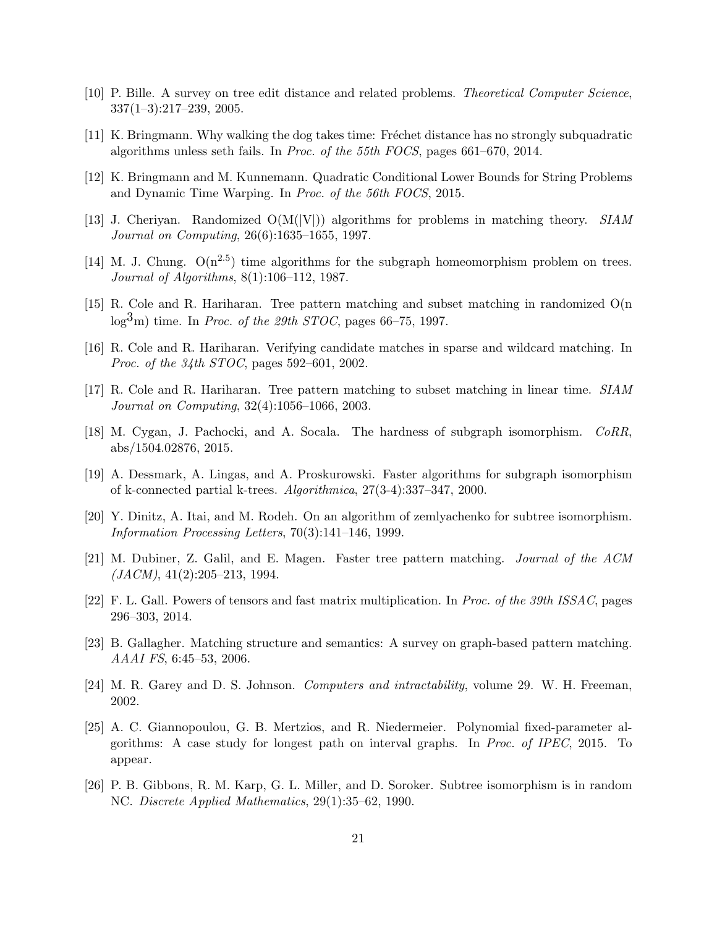- [10] P. Bille. A survey on tree edit distance and related problems. Theoretical Computer Science, 337(1–3):217–239, 2005.
- [11] K. Bringmann. Why walking the dog takes time: Fréchet distance has no strongly subquadratic algorithms unless seth fails. In Proc. of the 55th FOCS, pages 661–670, 2014.
- [12] K. Bringmann and M. Kunnemann. Quadratic Conditional Lower Bounds for String Problems and Dynamic Time Warping. In Proc. of the 56th FOCS, 2015.
- [13] J. Cheriyan. Randomized  $O(M(|V|))$  algorithms for problems in matching theory. SIAM Journal on Computing, 26(6):1635–1655, 1997.
- [14] M. J. Chung.  $O(n^{2.5})$  time algorithms for the subgraph homeomorphism problem on trees. Journal of Algorithms, 8(1):106–112, 1987.
- [15] R. Cole and R. Hariharan. Tree pattern matching and subset matching in randomized O(n  $\log^3 m$ ) time. In *Proc. of the 29th STOC*, pages 66–75, 1997.
- [16] R. Cole and R. Hariharan. Verifying candidate matches in sparse and wildcard matching. In Proc. of the 34th STOC, pages 592–601, 2002.
- [17] R. Cole and R. Hariharan. Tree pattern matching to subset matching in linear time. SIAM Journal on Computing, 32(4):1056–1066, 2003.
- [18] M. Cygan, J. Pachocki, and A. Socala. The hardness of subgraph isomorphism. CoRR, abs/1504.02876, 2015.
- [19] A. Dessmark, A. Lingas, and A. Proskurowski. Faster algorithms for subgraph isomorphism of k-connected partial k-trees. Algorithmica, 27(3-4):337–347, 2000.
- [20] Y. Dinitz, A. Itai, and M. Rodeh. On an algorithm of zemlyachenko for subtree isomorphism. Information Processing Letters, 70(3):141–146, 1999.
- [21] M. Dubiner, Z. Galil, and E. Magen. Faster tree pattern matching. Journal of the ACM  $(JACM)$ , 41(2):205–213, 1994.
- [22] F. L. Gall. Powers of tensors and fast matrix multiplication. In Proc. of the 39th ISSAC, pages 296–303, 2014.
- [23] B. Gallagher. Matching structure and semantics: A survey on graph-based pattern matching. AAAI FS, 6:45–53, 2006.
- [24] M. R. Garey and D. S. Johnson. Computers and intractability, volume 29. W. H. Freeman, 2002.
- [25] A. C. Giannopoulou, G. B. Mertzios, and R. Niedermeier. Polynomial fixed-parameter algorithms: A case study for longest path on interval graphs. In Proc. of IPEC, 2015. To appear.
- [26] P. B. Gibbons, R. M. Karp, G. L. Miller, and D. Soroker. Subtree isomorphism is in random NC. Discrete Applied Mathematics, 29(1):35–62, 1990.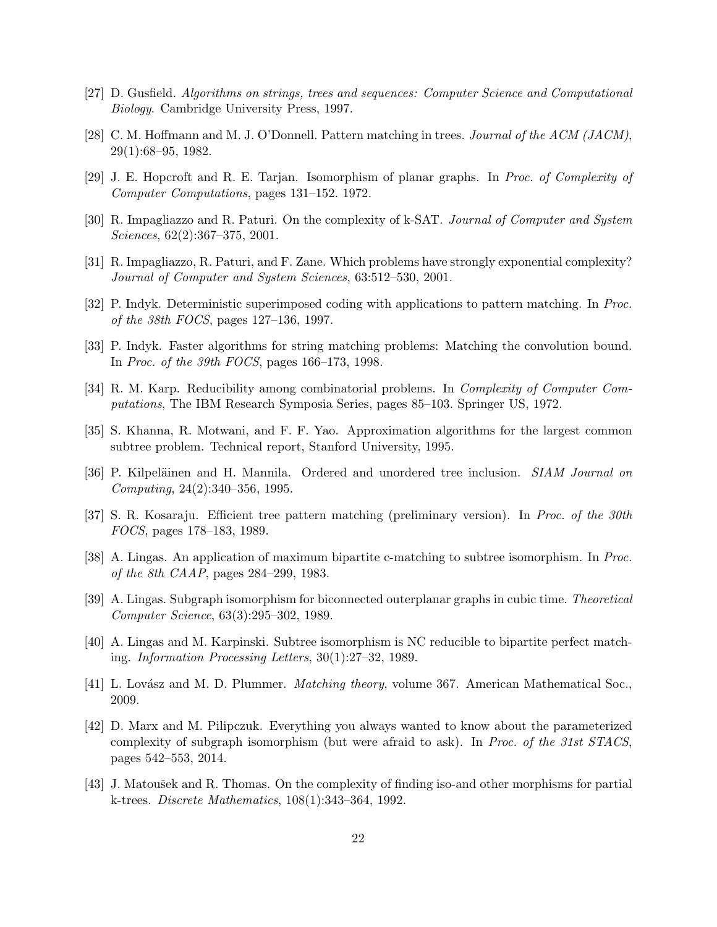- [27] D. Gusfield. Algorithms on strings, trees and sequences: Computer Science and Computational Biology. Cambridge University Press, 1997.
- [28] C. M. Hoffmann and M. J. O'Donnell. Pattern matching in trees. Journal of the ACM (JACM), 29(1):68–95, 1982.
- [29] J. E. Hopcroft and R. E. Tarjan. Isomorphism of planar graphs. In Proc. of Complexity of Computer Computations, pages 131–152. 1972.
- [30] R. Impagliazzo and R. Paturi. On the complexity of k-SAT. Journal of Computer and System Sciences, 62(2):367–375, 2001.
- [31] R. Impagliazzo, R. Paturi, and F. Zane. Which problems have strongly exponential complexity? Journal of Computer and System Sciences, 63:512–530, 2001.
- [32] P. Indyk. Deterministic superimposed coding with applications to pattern matching. In Proc. of the 38th FOCS, pages 127–136, 1997.
- [33] P. Indyk. Faster algorithms for string matching problems: Matching the convolution bound. In Proc. of the 39th FOCS, pages 166–173, 1998.
- [34] R. M. Karp. Reducibility among combinatorial problems. In Complexity of Computer Computations, The IBM Research Symposia Series, pages 85–103. Springer US, 1972.
- [35] S. Khanna, R. Motwani, and F. F. Yao. Approximation algorithms for the largest common subtree problem. Technical report, Stanford University, 1995.
- [36] P. Kilpeläinen and H. Mannila. Ordered and unordered tree inclusion. *SIAM Journal on* Computing, 24(2):340–356, 1995.
- [37] S. R. Kosaraju. Efficient tree pattern matching (preliminary version). In Proc. of the 30th FOCS, pages 178–183, 1989.
- [38] A. Lingas. An application of maximum bipartite c-matching to subtree isomorphism. In *Proc.* of the 8th CAAP, pages 284–299, 1983.
- [39] A. Lingas. Subgraph isomorphism for biconnected outerplanar graphs in cubic time. Theoretical Computer Science, 63(3):295–302, 1989.
- [40] A. Lingas and M. Karpinski. Subtree isomorphism is NC reducible to bipartite perfect matching. Information Processing Letters, 30(1):27–32, 1989.
- [41] L. Lovász and M. D. Plummer. *Matching theory*, volume 367. American Mathematical Soc., 2009.
- [42] D. Marx and M. Pilipczuk. Everything you always wanted to know about the parameterized complexity of subgraph isomorphism (but were afraid to ask). In Proc. of the 31st STACS, pages 542–553, 2014.
- [43] J. Matoušek and R. Thomas. On the complexity of finding iso-and other morphisms for partial k-trees. Discrete Mathematics, 108(1):343–364, 1992.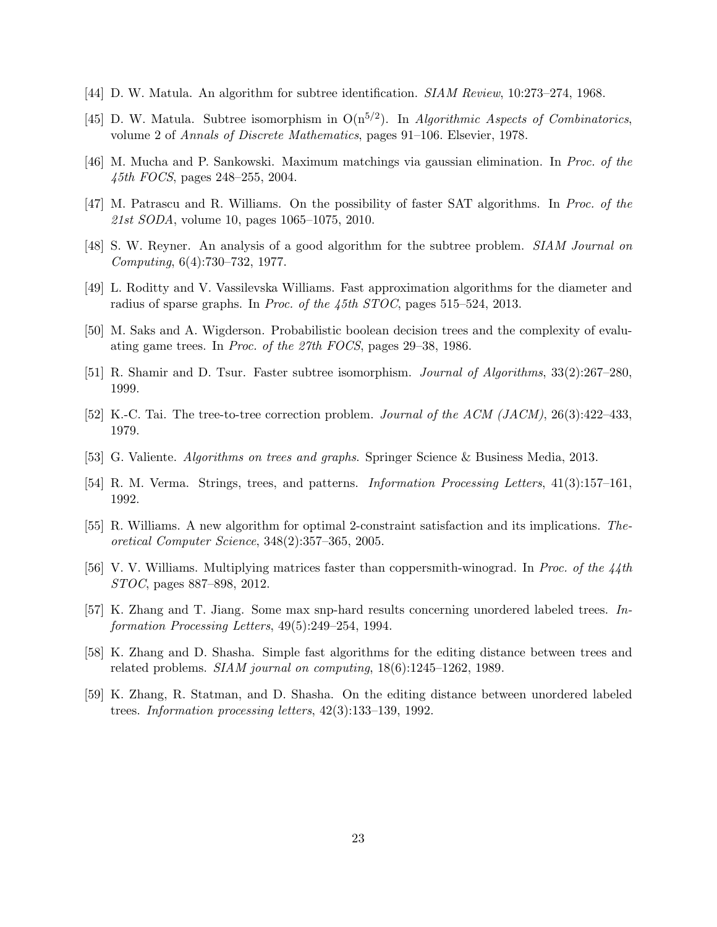- [44] D. W. Matula. An algorithm for subtree identification. SIAM Review, 10:273–274, 1968.
- [45] D. W. Matula. Subtree isomorphism in  $O(n^{5/2})$ . In Algorithmic Aspects of Combinatorics, volume 2 of Annals of Discrete Mathematics, pages 91–106. Elsevier, 1978.
- [46] M. Mucha and P. Sankowski. Maximum matchings via gaussian elimination. In Proc. of the 45th FOCS, pages 248–255, 2004.
- [47] M. Patrascu and R. Williams. On the possibility of faster SAT algorithms. In Proc. of the 21st SODA, volume 10, pages 1065–1075, 2010.
- [48] S. W. Reyner. An analysis of a good algorithm for the subtree problem. SIAM Journal on Computing, 6(4):730–732, 1977.
- [49] L. Roditty and V. Vassilevska Williams. Fast approximation algorithms for the diameter and radius of sparse graphs. In Proc. of the 45th STOC, pages 515–524, 2013.
- [50] M. Saks and A. Wigderson. Probabilistic boolean decision trees and the complexity of evaluating game trees. In Proc. of the 27th FOCS, pages 29–38, 1986.
- [51] R. Shamir and D. Tsur. Faster subtree isomorphism. Journal of Algorithms, 33(2):267–280, 1999.
- [52] K.-C. Tai. The tree-to-tree correction problem. Journal of the ACM (JACM), 26(3):422–433, 1979.
- [53] G. Valiente. Algorithms on trees and graphs. Springer Science & Business Media, 2013.
- [54] R. M. Verma. Strings, trees, and patterns. Information Processing Letters, 41(3):157–161, 1992.
- [55] R. Williams. A new algorithm for optimal 2-constraint satisfaction and its implications. Theoretical Computer Science, 348(2):357–365, 2005.
- [56] V. V. Williams. Multiplying matrices faster than coppersmith-winograd. In Proc. of the 44th STOC, pages 887–898, 2012.
- [57] K. Zhang and T. Jiang. Some max snp-hard results concerning unordered labeled trees. Information Processing Letters, 49(5):249–254, 1994.
- [58] K. Zhang and D. Shasha. Simple fast algorithms for the editing distance between trees and related problems. SIAM journal on computing, 18(6):1245–1262, 1989.
- [59] K. Zhang, R. Statman, and D. Shasha. On the editing distance between unordered labeled trees. Information processing letters, 42(3):133–139, 1992.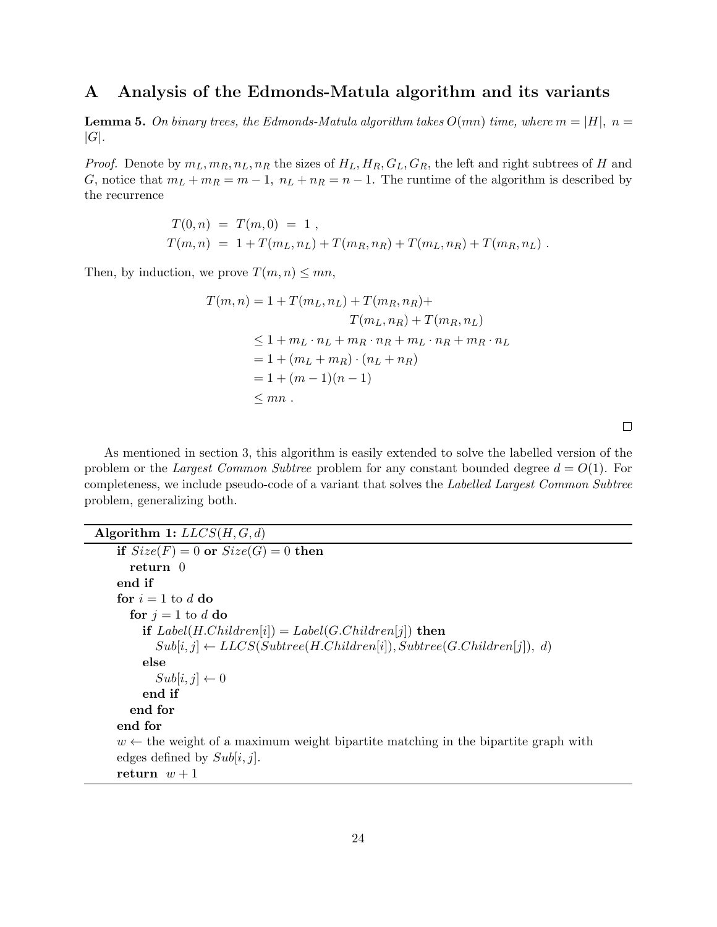## A Analysis of the Edmonds-Matula algorithm and its variants

**Lemma 5.** On binary trees, the Edmonds-Matula algorithm takes  $O(mn)$  time, where  $m = |H|$ ,  $n =$  $|G|$ .

*Proof.* Denote by  $m_L, m_R, n_L, n_R$  the sizes of  $H_L, H_R, G_L, G_R$ , the left and right subtrees of H and G, notice that  $m_L + m_R = m - 1$ ,  $n_L + n_R = n - 1$ . The runtime of the algorithm is described by the recurrence

$$
T(0,n) = T(m,0) = 1,
$$
  
\n
$$
T(m,n) = 1 + T(m_L, n_L) + T(m_R, n_R) + T(m_L, n_R) + T(m_R, n_L).
$$

Then, by induction, we prove  $T(m, n) \leq mn$ ,

$$
T(m, n) = 1 + T(m_L, n_L) + T(m_R, n_R) +
$$
  
\n
$$
T(m_L, n_R) + T(m_R, n_L)
$$
  
\n
$$
\leq 1 + m_L \cdot n_L + m_R \cdot n_R + m_L \cdot n_R + m_R \cdot n_L
$$
  
\n
$$
= 1 + (m_L + m_R) \cdot (n_L + n_R)
$$
  
\n
$$
= 1 + (m - 1)(n - 1)
$$
  
\n
$$
\leq mn.
$$

 $\Box$ 

As mentioned in section 3, this algorithm is easily extended to solve the labelled version of the problem or the Largest Common Subtree problem for any constant bounded degree  $d = O(1)$ . For completeness, we include pseudo-code of a variant that solves the Labelled Largest Common Subtree problem, generalizing both.

```
Algorithm 1: LLCS(H, G, d)if Size(F) = 0 or Size(G) = 0 then
      return 0
    end if
    for i = 1 to d do
      for j = 1 to d do
        if Label(H. Children[i]) = Label(G. Children[j]) then
           Sub[i, j] \leftarrow LLCS(Subtree(H.Chil dren[i]), Subtree(G.Chil dren[j]), d)else
           Sub[i, j] \leftarrow 0end if
      end for
    end for
    w \leftarrow the weight of a maximum weight bipartite matching in the bipartite graph with
    edges defined by Sub[i, j].
    return w + 1
```